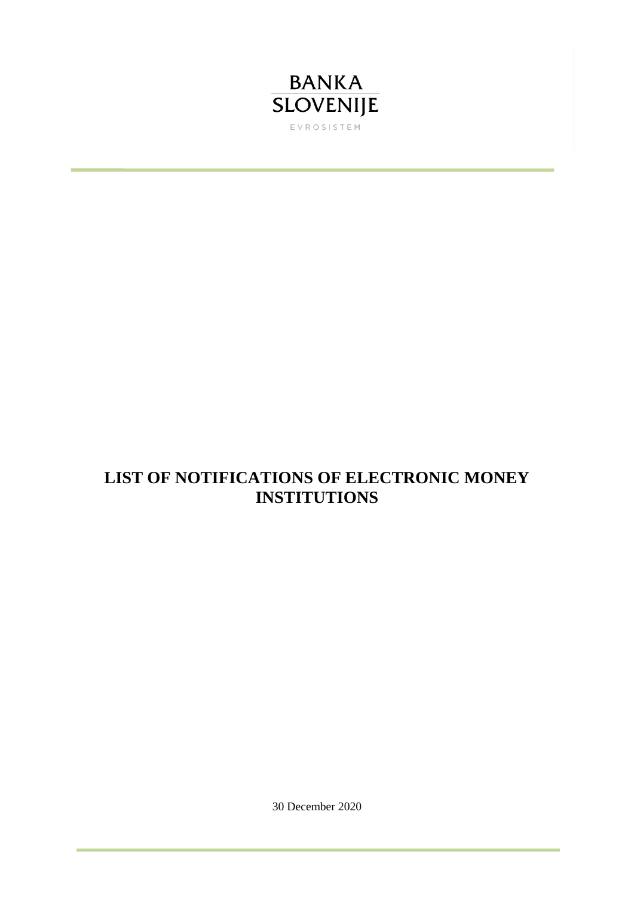

## **LIST OF NOTIFICATIONS OF ELECTRONIC MONEY INSTITUTIONS**

30 December 2020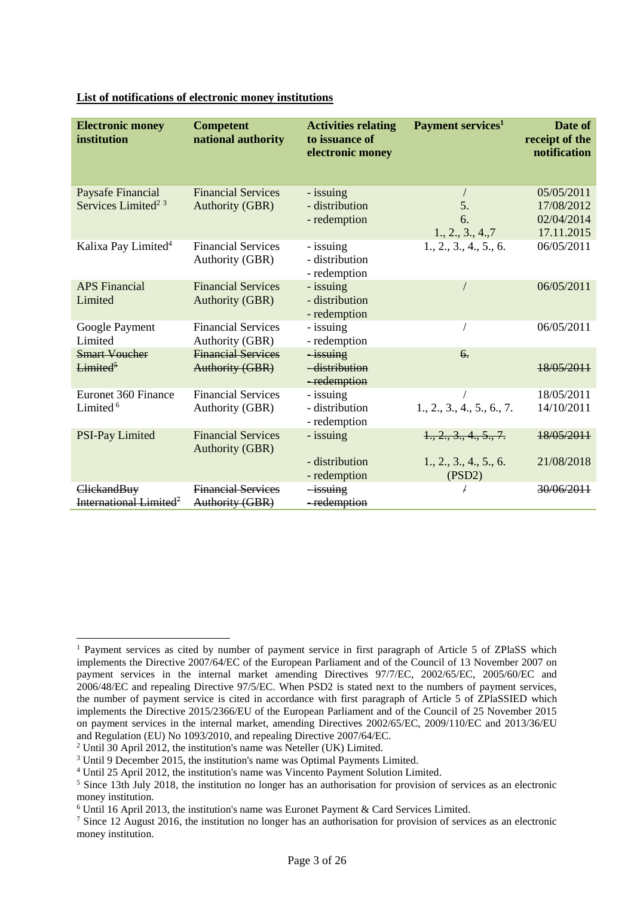| <b>Electronic money</b><br>institution            | <b>Competent</b><br>national authority              | <b>Activities relating</b><br>to issuance of<br>electronic money | Payment services <sup>1</sup>    | Date of<br>receipt of the<br>notification |
|---------------------------------------------------|-----------------------------------------------------|------------------------------------------------------------------|----------------------------------|-------------------------------------------|
| Paysafe Financial                                 | <b>Financial Services</b>                           | - issuing                                                        |                                  | 05/05/2011                                |
| Services Limited <sup>2</sup> <sup>3</sup>        | <b>Authority (GBR)</b>                              | - distribution                                                   | 5.                               | 17/08/2012                                |
|                                                   |                                                     | - redemption                                                     | 6.                               | 02/04/2014                                |
|                                                   |                                                     |                                                                  | 1., 2., 3., 4., 7                | 17.11.2015                                |
| Kalixa Pay Limited <sup>4</sup>                   | <b>Financial Services</b><br>Authority (GBR)        | - issuing<br>- distribution<br>- redemption                      | 1., 2., 3., 4., 5., 6.           | 06/05/2011                                |
| <b>APS</b> Financial<br>Limited                   | <b>Financial Services</b><br><b>Authority (GBR)</b> | - issuing<br>- distribution<br>- redemption                      |                                  | 06/05/2011                                |
| Google Payment<br>Limited                         | <b>Financial Services</b><br>Authority (GBR)        | - issuing<br>- redemption                                        |                                  | 06/05/2011                                |
| <b>Smart Voucher</b><br>Limited <sup>5</sup>      | <b>Financial Services</b><br><b>Authority (GBR)</b> | $-i$ ssuing<br>-distribution<br>-redemption                      | 6 <sub>1</sub>                   | 18/05/2011                                |
| Euronet 360 Finance                               | <b>Financial Services</b>                           | - issuing                                                        |                                  | 18/05/2011                                |
| Limited <sup>6</sup>                              | Authority (GBR)                                     | - distribution<br>- redemption                                   | 1., 2., 3., 4., 5., 6., 7.       | 14/10/2011                                |
| <b>PSI-Pay Limited</b>                            | <b>Financial Services</b><br><b>Authority (GBR)</b> | - issuing                                                        | 1., 2., 3., 4., 5., 7.           | 18/05/2011                                |
|                                                   |                                                     | - distribution<br>- redemption                                   | 1., 2., 3., 4., 5., 6.<br>(PSD2) | 21/08/2018                                |
| ClickandBuy<br>International Limited <sup>7</sup> | <b>Financial Services</b><br>Authority (GBR)        | $-i$ ssuing<br>-redemption                                       |                                  | 30/06/2011                                |

## **List of notifications of electronic money institutions**

<sup>-</sup><sup>1</sup> Payment services as cited by number of payment service in first paragraph of Article 5 of ZPlaSS which implements the Directive 2007/64/EC of the European Parliament and of the Council of 13 November 2007 on payment services in the internal market amending Directives 97/7/EC, 2002/65/EC, 2005/60/EC and 2006/48/EC and repealing Directive 97/5/EC. When PSD2 is stated next to the numbers of payment services, the number of payment service is cited in accordance with first paragraph of Article 5 of ZPlaSSIED which implements the Directive 2015/2366/EU of the European Parliament and of the Council of 25 November 2015 on payment services in the internal market, amending Directives 2002/65/EC, 2009/110/EC and 2013/36/EU and Regulation (EU) No 1093/2010, and repealing Directive 2007/64/EC.

<sup>2</sup> Until 30 April 2012, the institution's name was Neteller (UK) Limited.

<sup>3</sup> Until 9 December 2015, the institution's name was Optimal Payments Limited.

<sup>4</sup> Until 25 April 2012, the institution's name was Vincento Payment Solution Limited.

<sup>5</sup> Since 13th July 2018, the institution no longer has an authorisation for provision of services as an electronic money institution.

<sup>6</sup> Until 16 April 2013, the institution's name was Euronet Payment & Card Services Limited.

<sup>&</sup>lt;sup>7</sup> Since 12 August 2016, the institution no longer has an authorisation for provision of services as an electronic money institution.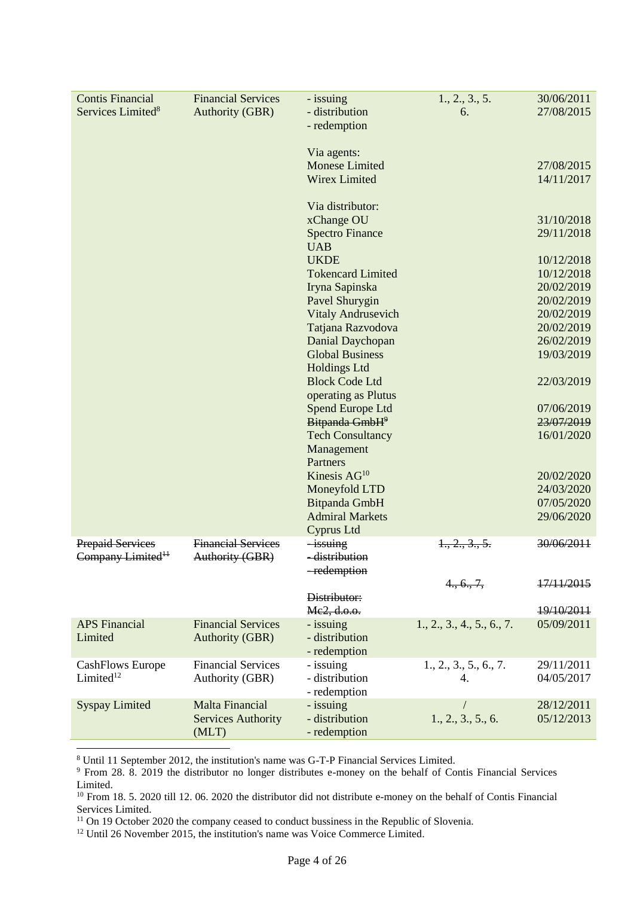| <b>Contis Financial</b>       | <b>Financial Services</b> | - issuing                                      | 1., 2., 3., 5.             | 30/06/2011               |
|-------------------------------|---------------------------|------------------------------------------------|----------------------------|--------------------------|
| Services Limited <sup>8</sup> | <b>Authority (GBR)</b>    | - distribution                                 | 6.                         | 27/08/2015               |
|                               |                           | - redemption                                   |                            |                          |
|                               |                           |                                                |                            |                          |
|                               |                           | Via agents:                                    |                            |                          |
|                               |                           | <b>Monese Limited</b>                          |                            | 27/08/2015               |
|                               |                           | <b>Wirex Limited</b>                           |                            | 14/11/2017               |
|                               |                           | Via distributor:                               |                            |                          |
|                               |                           | xChange OU                                     |                            | 31/10/2018               |
|                               |                           | <b>Spectro Finance</b>                         |                            | 29/11/2018               |
|                               |                           | <b>UAB</b>                                     |                            |                          |
|                               |                           | <b>UKDE</b>                                    |                            | 10/12/2018               |
|                               |                           | <b>Tokencard Limited</b>                       |                            | 10/12/2018               |
|                               |                           | Iryna Sapinska                                 |                            | 20/02/2019               |
|                               |                           | Pavel Shurygin                                 |                            | 20/02/2019               |
|                               |                           | <b>Vitaly Andrusevich</b>                      |                            | 20/02/2019               |
|                               |                           | Tatjana Razvodova                              |                            | 20/02/2019               |
|                               |                           | Danial Daychopan                               |                            | 26/02/2019               |
|                               |                           | <b>Global Business</b>                         |                            | 19/03/2019               |
|                               |                           | <b>Holdings Ltd</b>                            |                            |                          |
|                               |                           | <b>Block Code Ltd</b>                          |                            | 22/03/2019               |
|                               |                           | operating as Plutus                            |                            |                          |
|                               |                           | Spend Europe Ltd<br>Bitpanda GmbH <sup>9</sup> |                            | 07/06/2019<br>23/07/2019 |
|                               |                           | <b>Tech Consultancy</b>                        |                            | 16/01/2020               |
|                               |                           | Management                                     |                            |                          |
|                               |                           | Partners                                       |                            |                          |
|                               |                           | Kinesis $AG10$                                 |                            | 20/02/2020               |
|                               |                           | Moneyfold LTD                                  |                            | 24/03/2020               |
|                               |                           | Bitpanda GmbH                                  |                            | 07/05/2020               |
|                               |                           | <b>Admiral Markets</b>                         |                            | 29/06/2020               |
|                               |                           | Cyprus Ltd                                     |                            |                          |
| <b>Prepaid Services</b>       | <b>Financial Services</b> | <i>issuing</i>                                 | 1, 2, 3, 5.                | 30/06/2011               |
| Company Limited <sup>11</sup> | Authority (GBR)           | -distribution                                  |                            |                          |
|                               |                           | -redemption                                    |                            |                          |
|                               |                           |                                                | 4., 6., 7,                 | 17/11/2015               |
|                               |                           | Distributor:                                   |                            |                          |
| <b>APS</b> Financial          | <b>Financial Services</b> | Me2, d.o.o.<br>- issuing                       | 1., 2., 3., 4., 5., 6., 7. | 19/10/2011<br>05/09/2011 |
| Limited                       | <b>Authority (GBR)</b>    | - distribution                                 |                            |                          |
|                               |                           | - redemption                                   |                            |                          |
| <b>CashFlows Europe</b>       | <b>Financial Services</b> | - issuing                                      | 1., 2., 3., 5., 6., 7.     | 29/11/2011               |
| Limited <sup>12</sup>         | Authority (GBR)           | - distribution                                 | 4.                         | 04/05/2017               |
|                               |                           | - redemption                                   |                            |                          |
| <b>Syspay Limited</b>         | <b>Malta Financial</b>    | - issuing                                      |                            | 28/12/2011               |
|                               | <b>Services Authority</b> | - distribution                                 | 1., 2., 3., 5., 6.         | 05/12/2013               |
|                               | (MLT)                     | - redemption                                   |                            |                          |
|                               |                           |                                                |                            |                          |

<sup>8</sup> Until 11 September 2012, the institution's name was G-T-P Financial Services Limited.

<sup>9</sup> From 28. 8. 2019 the distributor no longer distributes e-money on the behalf of Contis Financial Services Limited.

<sup>11</sup> On 19 October 2020 the company ceased to conduct bussiness in the Republic of Slovenia.

<sup>12</sup> Until 26 November 2015, the institution's name was Voice Commerce Limited.

<sup>&</sup>lt;sup>10</sup> From 18. 5. 2020 till 12. 06. 2020 the distributor did not distribute e-money on the behalf of Contis Financial Services Limited.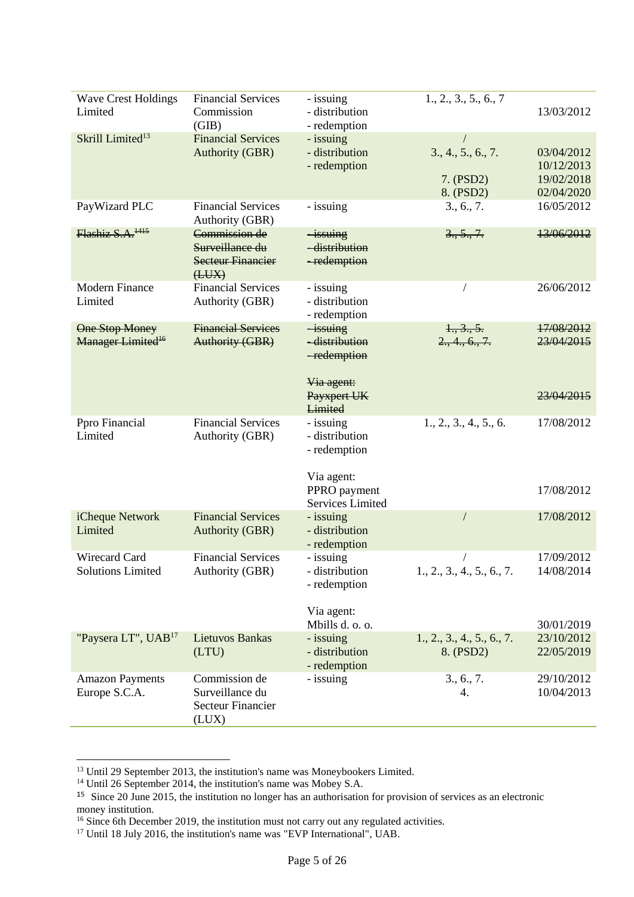| <b>Wave Crest Holdings</b><br>Limited                  | <b>Financial Services</b><br>Commission<br>(GIB)                      | - issuing<br>- distribution<br>- redemption           | 1., 2., 3., 5., 6., 7                        | 13/03/2012                                           |
|--------------------------------------------------------|-----------------------------------------------------------------------|-------------------------------------------------------|----------------------------------------------|------------------------------------------------------|
| Skrill Limited <sup>13</sup>                           | <b>Financial Services</b><br><b>Authority (GBR)</b>                   | - issuing<br>- distribution<br>- redemption           | 3., 4., 5., 6., 7.<br>7. (PSD2)<br>8. (PSD2) | 03/04/2012<br>10/12/2013<br>19/02/2018<br>02/04/2020 |
| PayWizard PLC                                          | <b>Financial Services</b><br><b>Authority (GBR)</b>                   | - issuing                                             | 3., 6., 7.                                   | 16/05/2012                                           |
| Flashiz S.A. <sup>1415</sup>                           | Commission de<br>Surveillance du<br><b>Secteur Financier</b><br>(HUX) | $-i$ ssuing<br>-distribution<br>-redemption           | 3., 5., 7.                                   | 13/06/2012                                           |
| <b>Modern Finance</b><br>Limited                       | <b>Financial Services</b><br>Authority (GBR)                          | - issuing<br>- distribution<br>- redemption           |                                              | 26/06/2012                                           |
| <b>One Stop Money</b><br>Manager Limited <sup>16</sup> | <b>Financial Services</b><br><b>Authority (GBR)</b>                   | $-i$ ssuing<br>-distribution<br>-redemption           | 1, 3, 5.<br>2., 4., 6., 7.                   | 17/08/2012<br>23/04/2015                             |
|                                                        |                                                                       | Via agent:<br>Payxpert UK<br>Limited                  |                                              | 23/04/2015                                           |
| Ppro Financial<br>Limited                              | <b>Financial Services</b><br>Authority (GBR)                          | - issuing<br>- distribution<br>- redemption           | 1., 2., 3., 4., 5., 6.                       | 17/08/2012                                           |
|                                                        |                                                                       | Via agent:<br>PPRO payment<br><b>Services Limited</b> |                                              | 17/08/2012                                           |
| iCheque Network<br>Limited                             | <b>Financial Services</b><br><b>Authority (GBR)</b>                   | - issuing<br>- distribution<br>- redemption           |                                              | 17/08/2012                                           |
| Wirecard Card<br><b>Solutions Limited</b>              | <b>Financial Services</b><br>Authority (GBR)                          | - issuing<br>- distribution<br>- redemption           | 1., 2., 3., 4., 5., 6., 7.                   | 17/09/2012<br>14/08/2014                             |
|                                                        |                                                                       | Via agent:<br>Mbills d. o. o.                         |                                              | 30/01/2019                                           |
| "Paysera LT", UAB <sup>17</sup>                        | Lietuvos Bankas<br>(LTU)                                              | - issuing<br>- distribution<br>- redemption           | 1., 2., 3., 4., 5., 6., 7.<br>8. (PSD2)      | 23/10/2012<br>22/05/2019                             |
| <b>Amazon Payments</b><br>Europe S.C.A.                | Commission de<br>Surveillance du<br>Secteur Financier<br>(LUX)        | - issuing                                             | 3., 6., 7.<br>4.                             | 29/10/2012<br>10/04/2013                             |

<sup>&</sup>lt;sup>13</sup> Until 29 September 2013, the institution's name was Moneybookers Limited.

<sup>&</sup>lt;sup>14</sup> Until 26 September 2014, the institution's name was Mobey S.A.

<sup>&</sup>lt;sup>15</sup> Since 20 June 2015, the institution no longer has an authorisation for provision of services as an electronic money institution.

<sup>&</sup>lt;sup>16</sup> Since 6th December 2019, the institution must not carry out any regulated activities.

<sup>&</sup>lt;sup>17</sup> Until 18 July 2016, the institution's name was "EVP International", UAB.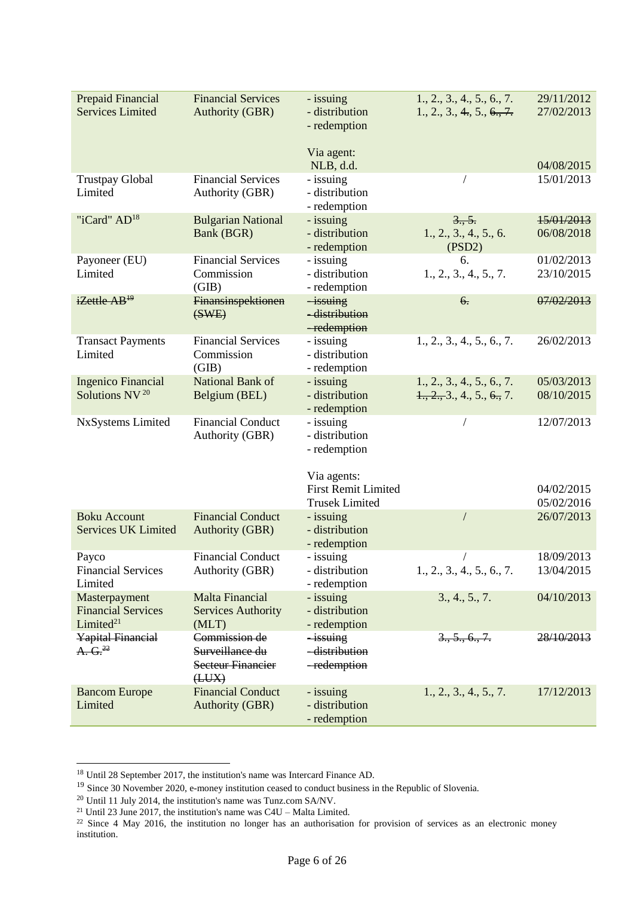| Prepaid Financial          | <b>Financial Services</b>               | - issuing                   | 1., 2., 3., 4., 5., 6., 7.                           | 29/11/2012               |
|----------------------------|-----------------------------------------|-----------------------------|------------------------------------------------------|--------------------------|
| <b>Services Limited</b>    | <b>Authority (GBR)</b>                  | - distribution              | 1., 2., 3., 4., 5., 6., 7.                           | 27/02/2013               |
|                            |                                         | - redemption                |                                                      |                          |
|                            |                                         |                             |                                                      |                          |
|                            |                                         | Via agent:                  |                                                      |                          |
|                            |                                         | NLB, d.d.                   |                                                      | 04/08/2015               |
| <b>Trustpay Global</b>     | <b>Financial Services</b>               | - issuing                   |                                                      | 15/01/2013               |
| Limited                    |                                         | - distribution              |                                                      |                          |
|                            | Authority (GBR)                         |                             |                                                      |                          |
| "iCard" AD <sup>18</sup>   |                                         | - redemption                |                                                      |                          |
|                            | <b>Bulgarian National</b><br>Bank (BGR) | - issuing<br>- distribution | 3., 5.                                               | 15/01/2013<br>06/08/2018 |
|                            |                                         |                             | 1., 2., 3., 4., 5., 6.                               |                          |
|                            | <b>Financial Services</b>               | - redemption                | (PSD2)                                               | 01/02/2013               |
| Payoneer (EU)              |                                         | - issuing                   | 6.                                                   |                          |
| Limited                    | Commission                              | - distribution              | 1., 2., 3., 4., 5., 7.                               | 23/10/2015               |
|                            | (GIB)                                   | - redemption                |                                                      |                          |
| iZettle AB <sup>19</sup>   | Finansinspektionen                      | $-i$ ssuing                 | 6.                                                   | 07/02/2013               |
|                            | (SWE)                                   | -distribution               |                                                      |                          |
|                            | <b>Financial Services</b>               | -redemption                 |                                                      |                          |
| <b>Transact Payments</b>   |                                         | - issuing                   | 1., 2., 3., 4., 5., 6., 7.                           | 26/02/2013               |
| Limited                    | Commission                              | - distribution              |                                                      |                          |
|                            | (GIB)                                   | - redemption                |                                                      |                          |
| <b>Ingenico Financial</b>  | National Bank of                        | - issuing                   | 1., 2., 3., 4., 5., 6., 7.                           | 05/03/2013               |
| Solutions NV <sup>20</sup> | Belgium (BEL)                           | - distribution              | $\frac{1}{2}, \frac{2}{2}, \frac{3}{2}, 4, 5, 6, 7.$ | 08/10/2015               |
|                            |                                         | - redemption                |                                                      |                          |
| NxSystems Limited          | <b>Financial Conduct</b>                | - issuing                   |                                                      | 12/07/2013               |
|                            | Authority (GBR)                         | - distribution              |                                                      |                          |
|                            |                                         | - redemption                |                                                      |                          |
|                            |                                         |                             |                                                      |                          |
|                            |                                         | Via agents:                 |                                                      |                          |
|                            |                                         | <b>First Remit Limited</b>  |                                                      | 04/02/2015               |
|                            |                                         | <b>Trusek Limited</b>       |                                                      | 05/02/2016               |
| <b>Boku Account</b>        | <b>Financial Conduct</b>                | - issuing                   |                                                      | 26/07/2013               |
| <b>Services UK Limited</b> | <b>Authority (GBR)</b>                  | - distribution              |                                                      |                          |
|                            |                                         | - redemption                |                                                      |                          |
| Payco                      | <b>Financial Conduct</b>                | - issuing                   |                                                      | 18/09/2013               |
| <b>Financial Services</b>  | Authority (GBR)                         | - distribution              | 1., 2., 3., 4., 5., 6., 7.                           | 13/04/2015               |
| Limited                    |                                         | - redemption                |                                                      |                          |
| Masterpayment              | <b>Malta Financial</b>                  | - issuing                   | 3., 4., 5., 7.                                       | 04/10/2013               |
| <b>Financial Services</b>  | <b>Services Authority</b>               | - distribution              |                                                      |                          |
| Limited <sup>21</sup>      | (MLT)                                   | - redemption                |                                                      |                          |
| <b>Yapital Financial</b>   | Commission de                           | <i>issuing</i>              | 3., 5., 6., 7.                                       | 28/10/2013               |
| A. G. <sup>22</sup>        | Surveillance du                         | -distribution               |                                                      |                          |
|                            | <b>Secteur Financier</b>                | -redemption                 |                                                      |                          |
|                            | (HUX)                                   |                             |                                                      |                          |
| <b>Bancom Europe</b>       | <b>Financial Conduct</b>                | - issuing                   | 1., 2., 3., 4., 5., 7.                               | 17/12/2013               |
| Limited                    | <b>Authority (GBR)</b>                  | - distribution              |                                                      |                          |
|                            |                                         | - redemption                |                                                      |                          |

 $18$  Until 28 September 2017, the institution's name was Intercard Finance AD.

<sup>&</sup>lt;sup>19</sup> Since 30 November 2020, e-money institution ceased to conduct business in the Republic of Slovenia.

 $^{20}$  Until 11 July 2014, the institution's name was Tunz.com SA/NV.

<sup>&</sup>lt;sup>21</sup> Until 23 June 2017, the institution's name was  $C4U -$  Malta Limited.

<sup>&</sup>lt;sup>22</sup> Since 4 May 2016, the institution no longer has an authorisation for provision of services as an electronic money institution.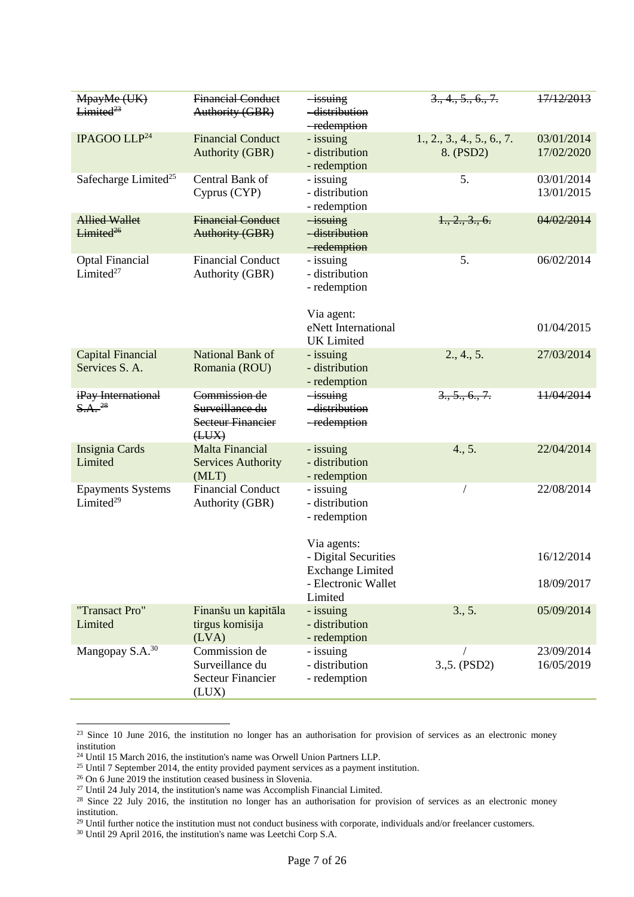| MpayMe (UK)<br>Limited <sup>23</sup>              | <b>Financial Conduct</b><br>Authority (GBR)                           | <i>issuing</i><br>-distribution<br>-redemption                 | 3, 4, 5, 6, 7.                          | 17/12/2013               |
|---------------------------------------------------|-----------------------------------------------------------------------|----------------------------------------------------------------|-----------------------------------------|--------------------------|
| IPAGOO LLP <sup>24</sup>                          | <b>Financial Conduct</b><br><b>Authority (GBR)</b>                    | - issuing<br>- distribution<br>- redemption                    | 1., 2., 3., 4., 5., 6., 7.<br>8. (PSD2) | 03/01/2014<br>17/02/2020 |
| Safecharge Limited <sup>25</sup>                  | Central Bank of<br>Cyprus (CYP)                                       | - issuing<br>- distribution<br>- redemption                    | 5.                                      | 03/01/2014<br>13/01/2015 |
| <b>Allied Wallet</b><br>Limited <sup>26</sup>     | <b>Financial Conduct</b><br><b>Authority (GBR)</b>                    | $-i$ ssuing<br>-distribution<br>-redemption                    | 1., 2., 3., 6.                          | 04/02/2014               |
| <b>Optal Financial</b><br>Limited <sup>27</sup>   | <b>Financial Conduct</b><br>Authority (GBR)                           | - issuing<br>- distribution<br>- redemption<br>Via agent:      | 5.                                      | 06/02/2014               |
|                                                   |                                                                       | eNett International<br><b>UK</b> Limited                       |                                         | 01/04/2015               |
| <b>Capital Financial</b><br>Services S. A.        | National Bank of<br>Romania (ROU)                                     | - issuing<br>- distribution<br>- redemption                    | 2., 4., 5.                              | 27/03/2014               |
| iPay International<br>$S.A.$ <sup>28</sup>        | Commission de<br>Surveillance du<br><b>Secteur Financier</b><br>(HUX) | $-i$ ssuing<br>-distribution<br>-redemption                    | $3, 5, 6, 7$ .                          | 11/04/2014               |
| Insignia Cards<br>Limited                         | <b>Malta Financial</b><br><b>Services Authority</b><br>(MLT)          | - issuing<br>- distribution<br>- redemption                    | 4., 5.                                  | 22/04/2014               |
| <b>Epayments Systems</b><br>Limited <sup>29</sup> | <b>Financial Conduct</b><br>Authority (GBR)                           | - issuing<br>- distribution<br>- redemption                    |                                         | 22/08/2014               |
|                                                   |                                                                       | Via agents:<br>- Digital Securities<br><b>Exchange Limited</b> |                                         | 16/12/2014               |
|                                                   |                                                                       | - Electronic Wallet<br>Limited                                 |                                         | 18/09/2017               |
| "Transact Pro"<br>Limited                         | Finanšu un kapitāla<br>tirgus komisija<br>(LVA)                       | - issuing<br>- distribution<br>- redemption                    | 3., 5.                                  | 05/09/2014               |
| Mangopay S.A. <sup>30</sup>                       | Commission de<br>Surveillance du<br><b>Secteur Financier</b><br>(LUX) | - issuing<br>- distribution<br>- redemption                    | 3.,5. (PSD2)                            | 23/09/2014<br>16/05/2019 |

 $23$  Since 10 June 2016, the institution no longer has an authorisation for provision of services as an electronic money institution

<sup>&</sup>lt;sup>24</sup> Until 15 March 2016, the institution's name was Orwell Union Partners LLP.

 $25$  Until 7 September 2014, the entity provided payment services as a payment institution.

<sup>&</sup>lt;sup>26</sup> On 6 June 2019 the institution ceased business in Slovenia.

 $27$  Until 24 July 2014, the institution's name was Accomplish Financial Limited.

 $28$  Since 22 July 2016, the institution no longer has an authorisation for provision of services as an electronic money institution.

<sup>&</sup>lt;sup>29</sup> Until further notice the institution must not conduct business with corporate, individuals and/or freelancer customers.

<sup>30</sup> Until 29 April 2016, the institution's name was Leetchi Corp S.A.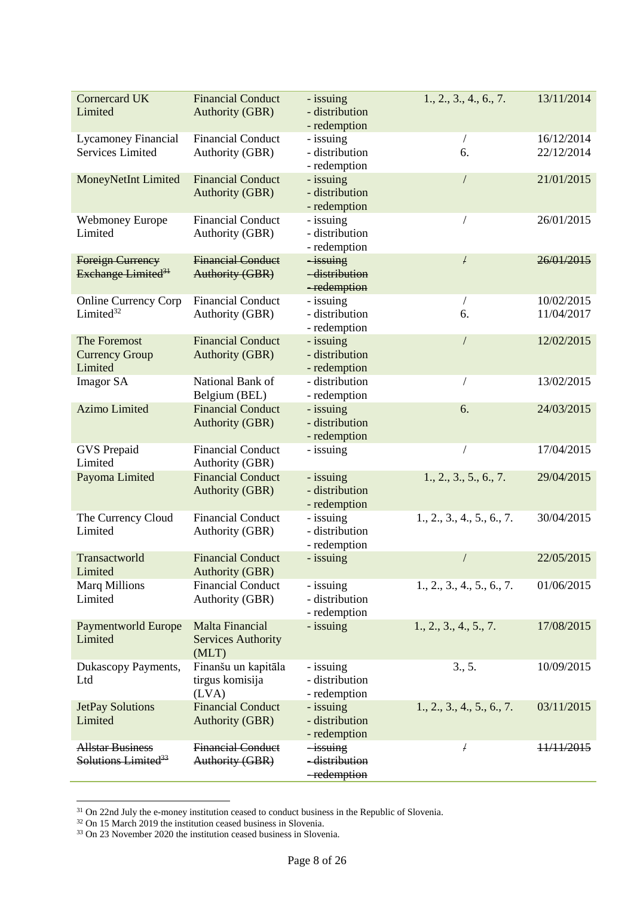| <b>Cornercard UK</b><br>Limited                            | <b>Financial Conduct</b><br><b>Authority (GBR)</b>    | - issuing<br>- distribution<br>- redemption | 1., 2., 3., 4., 6., 7.     | 13/11/2014               |
|------------------------------------------------------------|-------------------------------------------------------|---------------------------------------------|----------------------------|--------------------------|
| Lycamoney Financial                                        | <b>Financial Conduct</b>                              | - issuing                                   |                            | 16/12/2014               |
| <b>Services Limited</b>                                    | Authority (GBR)                                       | - distribution<br>- redemption              | 6.                         | 22/12/2014               |
| MoneyNetInt Limited                                        | <b>Financial Conduct</b><br><b>Authority (GBR)</b>    | - issuing<br>- distribution<br>- redemption |                            | 21/01/2015               |
| <b>Webmoney Europe</b><br>Limited                          | <b>Financial Conduct</b><br>Authority (GBR)           | - issuing<br>- distribution<br>- redemption |                            | 26/01/2015               |
| <b>Foreign Currency</b><br>Exchange Limited <sup>31</sup>  | <b>Financial Conduct</b><br><b>Authority (GBR)</b>    | $-i$ ssuing<br>-distribution<br>-redemption | F                          | 26/01/2015               |
| <b>Online Currency Corp</b><br>Limited <sup>32</sup>       | <b>Financial Conduct</b><br>Authority (GBR)           | - issuing<br>- distribution<br>- redemption | 6.                         | 10/02/2015<br>11/04/2017 |
| The Foremost<br><b>Currency Group</b><br>Limited           | <b>Financial Conduct</b><br><b>Authority (GBR)</b>    | - issuing<br>- distribution<br>- redemption |                            | 12/02/2015               |
| <b>Imagor SA</b>                                           | National Bank of<br>Belgium (BEL)                     | - distribution<br>- redemption              |                            | 13/02/2015               |
| <b>Azimo Limited</b>                                       | <b>Financial Conduct</b><br><b>Authority (GBR)</b>    | - issuing<br>- distribution<br>- redemption | 6.                         | 24/03/2015               |
| <b>GVS</b> Prepaid<br>Limited                              | <b>Financial Conduct</b><br>Authority (GBR)           | - issuing                                   |                            | 17/04/2015               |
| Payoma Limited                                             | <b>Financial Conduct</b><br><b>Authority (GBR)</b>    | - issuing<br>- distribution<br>- redemption | 1., 2., 3., 5., 6., 7.     | 29/04/2015               |
| The Currency Cloud<br>Limited                              | <b>Financial Conduct</b><br>Authority (GBR)           | - issuing<br>- distribution<br>- redemption | 1., 2., 3., 4., 5., 6., 7. | 30/04/2015               |
| Transactworld<br>Limited                                   | <b>Financial Conduct</b><br><b>Authority (GBR)</b>    | - issuing                                   |                            | 22/05/2015               |
| <b>Marq Millions</b><br>Limited                            | <b>Financial Conduct</b><br>Authority (GBR)           | - issuing<br>- distribution<br>- redemption | 1., 2., 3., 4., 5., 6., 7. | 01/06/2015               |
| <b>Paymentworld Europe</b><br>Limited                      | Malta Financial<br><b>Services Authority</b><br>(MLT) | - issuing                                   | 1., 2., 3., 4., 5., 7.     | 17/08/2015               |
| Dukascopy Payments,<br>Ltd                                 | Finanšu un kapitāla<br>tirgus komisija<br>(LVA)       | - issuing<br>- distribution<br>- redemption | 3., 5.                     | 10/09/2015               |
| <b>JetPay Solutions</b><br>Limited                         | <b>Financial Conduct</b><br><b>Authority (GBR)</b>    | - issuing<br>- distribution<br>- redemption | 1., 2., 3., 4., 5., 6., 7. | 03/11/2015               |
| <b>Allstar Business</b><br>Solutions Limited <sup>33</sup> | <b>Financial Conduct</b><br>Authority (GBR)           | $-i$ ssuing<br>-distribution<br>-redemption | F                          | 11/11/2015               |

<sup>&</sup>lt;sup>31</sup> On 22nd July the e-money institution ceased to conduct business in the Republic of Slovenia.

<sup>&</sup>lt;sup>32</sup> On 15 March 2019 the institution ceased business in Slovenia.

<sup>&</sup>lt;sup>33</sup> On 23 November 2020 the institution ceased business in Slovenia.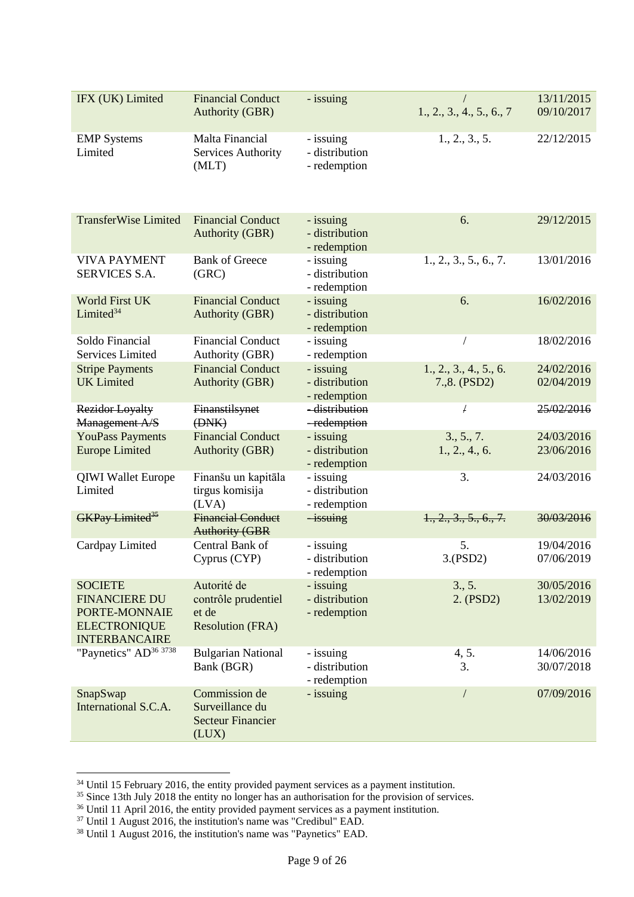| IFX (UK) Limited                                                                                       | <b>Financial Conduct</b><br><b>Authority (GBR)</b>                     | - issuing                                   | $\sqrt{2}$<br>1., 2., 3., 4., 5., 6., 7 | 13/11/2015<br>09/10/2017 |
|--------------------------------------------------------------------------------------------------------|------------------------------------------------------------------------|---------------------------------------------|-----------------------------------------|--------------------------|
| <b>EMP</b> Systems<br>Limited                                                                          | Malta Financial<br>Services Authority<br>(MLT)                         | - issuing<br>- distribution<br>- redemption | 1., 2., 3., 5.                          | 22/12/2015               |
| <b>TransferWise Limited</b>                                                                            | <b>Financial Conduct</b><br><b>Authority (GBR)</b>                     | - issuing<br>- distribution<br>- redemption | 6.                                      | 29/12/2015               |
| <b>VIVA PAYMENT</b><br><b>SERVICES S.A.</b>                                                            | <b>Bank of Greece</b><br>(GRC)                                         | - issuing<br>- distribution<br>- redemption | 1., 2., 3., 5., 6., 7.                  | 13/01/2016               |
| <b>World First UK</b><br>Limited <sup>34</sup>                                                         | <b>Financial Conduct</b><br><b>Authority (GBR)</b>                     | - issuing<br>- distribution<br>- redemption | 6.                                      | 16/02/2016               |
| Soldo Financial<br><b>Services Limited</b>                                                             | <b>Financial Conduct</b><br>Authority (GBR)                            | - issuing<br>- redemption                   | $\sqrt{2}$                              | 18/02/2016               |
| <b>Stripe Payments</b><br><b>UK</b> Limited                                                            | <b>Financial Conduct</b><br><b>Authority (GBR)</b>                     | - issuing<br>- distribution<br>- redemption | 1., 2., 3., 4., 5., 6.<br>7.,8. (PSD2)  | 24/02/2016<br>02/04/2019 |
| Rezidor Loyalty<br>Management A/S                                                                      | Finanstilsynet<br>(H <sub>W</sub> )                                    | -distribution<br>-redemption                | £                                       | 25/02/2016               |
| <b>YouPass Payments</b><br><b>Europe Limited</b>                                                       | <b>Financial Conduct</b><br><b>Authority (GBR)</b>                     | - issuing<br>- distribution<br>- redemption | 3., 5., 7.<br>1., 2., 4., 6.            | 24/03/2016<br>23/06/2016 |
| <b>QIWI Wallet Europe</b><br>Limited                                                                   | Finanšu un kapitāla<br>tirgus komisija<br>(LVA)                        | - issuing<br>- distribution<br>- redemption | 3.                                      | 24/03/2016               |
| <b>GKPay Limited</b> <sup>35</sup>                                                                     | <b>Financial Conduct</b><br><b>Authority (GBR</b>                      | $-i$ ssuing                                 | 1., 2., 3., 5., 6., 7.                  | 30/03/2016               |
| Cardpay Limited                                                                                        | Central Bank of<br>Cyprus (CYP)                                        | - issuing<br>- distribution<br>- redemption | 5.<br>3.(PSD2)                          | 19/04/2016<br>07/06/2019 |
| <b>SOCIETE</b><br><b>FINANCIERE DU</b><br>PORTE-MONNAIE<br><b>ELECTRONIQUE</b><br><b>INTERBANCAIRE</b> | Autorité de<br>contrôle prudentiel<br>et de<br><b>Resolution (FRA)</b> | - issuing<br>- distribution<br>- redemption | 3., 5.<br>2. (PSD2)                     | 30/05/2016<br>13/02/2019 |
| "Paynetics" AD <sup>36 3738</sup>                                                                      | <b>Bulgarian National</b><br>Bank (BGR)                                | - issuing<br>- distribution<br>- redemption | 4, 5.<br>3.                             | 14/06/2016<br>30/07/2018 |
| SnapSwap<br>International S.C.A.                                                                       | Commission de<br>Surveillance du<br><b>Secteur Financier</b><br>(LUX)  | - issuing                                   | $\sqrt{2}$                              | 07/09/2016               |

 $34$  Until 15 February 2016, the entity provided payment services as a payment institution.

<sup>&</sup>lt;sup>35</sup> Since 13th July 2018 the entity no longer has an authorisation for the provision of services.

<sup>&</sup>lt;sup>36</sup> Until 11 April 2016, the entity provided payment services as a payment institution.

<sup>&</sup>lt;sup>37</sup> Until 1 August 2016, the institution's name was "Credibul" EAD.

<sup>38</sup> Until 1 August 2016, the institution's name was "Paynetics" EAD.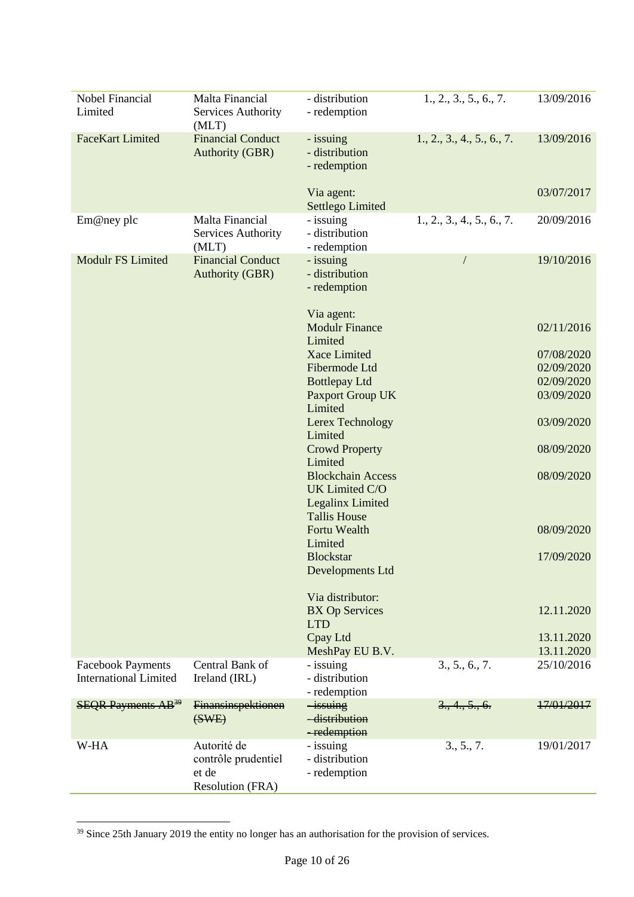| Nobel Financial                       | Malta Financial                                    | - distribution                                                 | 1., 2., 3., 5., 6., 7.     | 13/09/2016               |
|---------------------------------------|----------------------------------------------------|----------------------------------------------------------------|----------------------------|--------------------------|
| Limited                               | Services Authority<br>(MLT)                        | - redemption                                                   |                            |                          |
| <b>FaceKart Limited</b>               | <b>Financial Conduct</b><br><b>Authority (GBR)</b> | - issuing<br>- distribution<br>- redemption                    | 1., 2., 3., 4., 5., 6., 7. | 13/09/2016               |
|                                       |                                                    | Via agent:<br>Settlego Limited                                 |                            | 03/07/2017               |
| Em@ney plc                            | Malta Financial<br>Services Authority<br>(MLT)     | - issuing<br>- distribution<br>- redemption                    | 1., 2., 3., 4., 5., 6., 7. | 20/09/2016               |
| <b>Modulr FS Limited</b>              | <b>Financial Conduct</b><br><b>Authority (GBR)</b> | - issuing<br>- distribution<br>- redemption                    |                            | 19/10/2016               |
|                                       |                                                    | Via agent:<br><b>Modulr Finance</b><br>Limited                 |                            | 02/11/2016               |
|                                       |                                                    | Xace Limited                                                   |                            | 07/08/2020               |
|                                       |                                                    | Fibermode Ltd                                                  |                            | 02/09/2020               |
|                                       |                                                    | <b>Bottlepay Ltd</b>                                           |                            | 02/09/2020               |
|                                       |                                                    | <b>Paxport Group UK</b>                                        |                            | 03/09/2020               |
|                                       |                                                    | Limited<br>Lerex Technology<br>Limited                         |                            | 03/09/2020               |
|                                       |                                                    | <b>Crowd Property</b><br>Limited                               |                            | 08/09/2020               |
|                                       |                                                    | <b>Blockchain Access</b><br>UK Limited C/O<br>Legalinx Limited |                            | 08/09/2020               |
|                                       |                                                    | <b>Tallis House</b><br>Fortu Wealth<br>Limited                 |                            | 08/09/2020               |
|                                       |                                                    | <b>Blockstar</b><br>Developments Ltd                           |                            | 17/09/2020               |
|                                       |                                                    | Via distributor:                                               |                            |                          |
|                                       |                                                    | <b>BX Op Services</b><br><b>LTD</b>                            |                            | 12.11.2020               |
|                                       |                                                    | Cpay Ltd                                                       |                            | 13.11.2020               |
| <b>Facebook Payments</b>              | Central Bank of                                    | MeshPay EU B.V.<br>- issuing                                   | 3., 5., 6., 7.             | 13.11.2020<br>25/10/2016 |
| <b>International Limited</b>          | Ireland (IRL)                                      | - distribution<br>- redemption                                 |                            |                          |
| <b>SEQR Payments AB</b> <sup>39</sup> | Finansinspektionen<br>(SWE)                        | -issuing<br>-distribution<br>-redemption                       | 3, 4, 5, 6.                | 17/01/2017               |
| W-HA                                  | Autorité de                                        | - issuing                                                      | 3., 5., 7.                 | 19/01/2017               |
|                                       | contrôle prudentiel                                | - distribution                                                 |                            |                          |
|                                       | et de                                              | - redemption                                                   |                            |                          |
|                                       | Resolution (FRA)                                   |                                                                |                            |                          |

<sup>&</sup>lt;sup>39</sup> Since 25th January 2019 the entity no longer has an authorisation for the provision of services.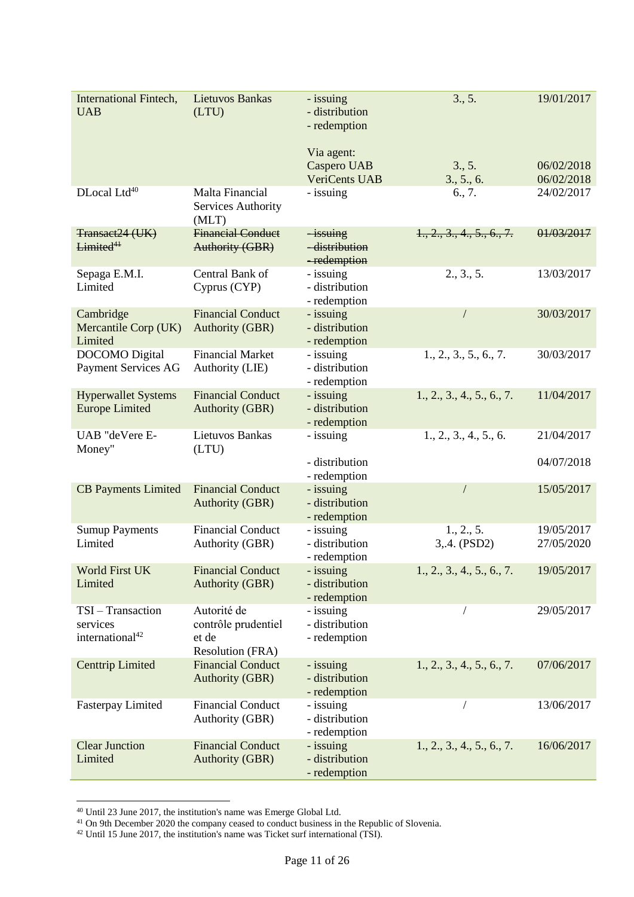| <b>International Fintech,</b><br><b>UAB</b>                | <b>Lietuvos Bankas</b><br>(LTU)                                 | - issuing<br>- distribution<br>- redemption       | 3., 5.                     | 19/01/2017               |
|------------------------------------------------------------|-----------------------------------------------------------------|---------------------------------------------------|----------------------------|--------------------------|
|                                                            |                                                                 | Via agent:<br>Caspero UAB<br><b>VeriCents UAB</b> | 3., 5.<br>3., 5., 6.       | 06/02/2018<br>06/02/2018 |
| DLocal Ltd <sup>40</sup>                                   | Malta Financial<br>Services Authority<br>(MLT)                  | - issuing                                         | 6., 7.                     | 24/02/2017               |
| Transact24 (UK)<br>Limited <sup>41</sup>                   | <b>Financial Conduct</b><br><b>Authority (GBR)</b>              | $-$ issuing<br>-distribution<br>-redemption       | 1., 2., 3., 4., 5., 6., 7. | 01/03/2017               |
| Sepaga E.M.I.<br>Limited                                   | Central Bank of<br>Cyprus (CYP)                                 | - issuing<br>- distribution<br>- redemption       | 2., 3., 5.                 | 13/03/2017               |
| Cambridge<br>Mercantile Corp (UK)<br>Limited               | <b>Financial Conduct</b><br><b>Authority (GBR)</b>              | - issuing<br>- distribution<br>- redemption       | $\sqrt{2}$                 | 30/03/2017               |
| <b>DOCOMO</b> Digital<br><b>Payment Services AG</b>        | <b>Financial Market</b><br>Authority (LIE)                      | - issuing<br>- distribution<br>- redemption       | 1., 2., 3., 5., 6., 7.     | 30/03/2017               |
| <b>Hyperwallet Systems</b><br><b>Europe Limited</b>        | <b>Financial Conduct</b><br><b>Authority (GBR)</b>              | - issuing<br>- distribution<br>- redemption       | 1., 2., 3., 4., 5., 6., 7. | 11/04/2017               |
| UAB "deVere E-<br>Money"                                   | Lietuvos Bankas<br>(LTU)                                        | - issuing<br>- distribution                       | 1., 2., 3., 4., 5., 6.     | 21/04/2017<br>04/07/2018 |
|                                                            |                                                                 | - redemption                                      |                            |                          |
| <b>CB Payments Limited</b>                                 | <b>Financial Conduct</b><br><b>Authority (GBR)</b>              | - issuing<br>- distribution<br>- redemption       |                            | 15/05/2017               |
| <b>Sumup Payments</b><br>Limited                           | <b>Financial Conduct</b><br>Authority (GBR)                     | - issuing<br>- distribution<br>- redemption       | 1., 2., 5.<br>3,.4. (PSD2) | 19/05/2017<br>27/05/2020 |
| <b>World First UK</b><br>Limited                           | <b>Financial Conduct</b><br><b>Authority (GBR)</b>              | - issuing<br>- distribution<br>- redemption       | 1., 2., 3., 4., 5., 6., 7. | 19/05/2017               |
| TSI-Transaction<br>services<br>international <sup>42</sup> | Autorité de<br>contrôle prudentiel<br>et de<br>Resolution (FRA) | - issuing<br>- distribution<br>- redemption       |                            | 29/05/2017               |
| <b>Centtrip Limited</b>                                    | <b>Financial Conduct</b><br><b>Authority (GBR)</b>              | - issuing<br>- distribution<br>- redemption       | 1., 2., 3., 4., 5., 6., 7. | 07/06/2017               |
| <b>Fasterpay Limited</b>                                   | <b>Financial Conduct</b><br>Authority (GBR)                     | - issuing<br>- distribution<br>- redemption       |                            | 13/06/2017               |
| <b>Clear Junction</b><br>Limited                           | <b>Financial Conduct</b><br><b>Authority (GBR)</b>              | - issuing<br>- distribution<br>- redemption       | 1., 2., 3., 4., 5., 6., 7. | 16/06/2017               |

<sup>&</sup>lt;sup>40</sup> Until 23 June 2017, the institution's name was Emerge Global Ltd.

<sup>&</sup>lt;sup>41</sup> On 9th December 2020 the company ceased to conduct business in the Republic of Slovenia.

 $42$  Until 15 June 2017, the institution's name was Ticket surf international (TSI).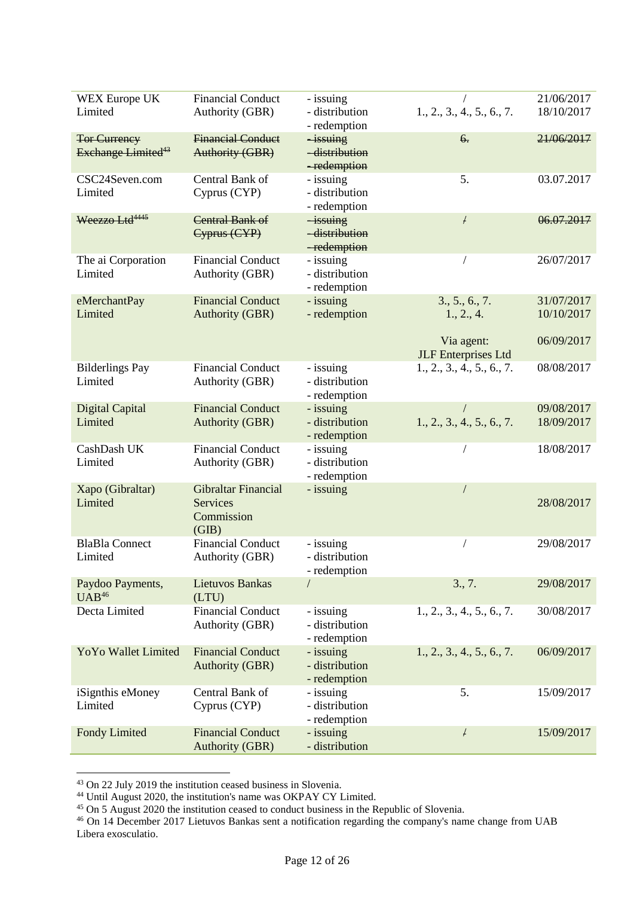| <b>WEX Europe UK</b>           | <b>Financial Conduct</b> | - issuing                    |                            | 21/06/2017 |
|--------------------------------|--------------------------|------------------------------|----------------------------|------------|
| Limited                        | Authority (GBR)          | - distribution               | 1., 2., 3., 4., 5., 6., 7. | 18/10/2017 |
|                                |                          | - redemption                 |                            |            |
| <b>Tor Currency</b>            | <b>Financial Conduct</b> | $-i$ ssuing                  | 6.                         | 21/06/2017 |
| Exchange Limited <sup>43</sup> | <b>Authority (GBR)</b>   | -distribution                |                            |            |
|                                |                          | -redemption                  |                            |            |
| CSC24Seven.com                 | Central Bank of          | - issuing                    | 5.                         | 03.07.2017 |
| Limited                        | Cyprus (CYP)             | - distribution               |                            |            |
|                                |                          |                              |                            |            |
|                                |                          | - redemption                 |                            |            |
| Weezzo Ltd <sup>4445</sup>     | Central Bank of          | $-i$ ssuing<br>-distribution | F                          | 06.07.2017 |
|                                | Cyprus (CYP)             |                              |                            |            |
|                                |                          | -redemption                  |                            |            |
| The ai Corporation             | <b>Financial Conduct</b> | - issuing                    |                            | 26/07/2017 |
| Limited                        | Authority (GBR)          | - distribution               |                            |            |
|                                |                          | - redemption                 |                            |            |
| eMerchantPay                   | <b>Financial Conduct</b> | - issuing                    | 3., 5., 6., 7.             | 31/07/2017 |
| Limited                        | <b>Authority (GBR)</b>   | - redemption                 | 1., 2., 4.                 | 10/10/2017 |
|                                |                          |                              |                            |            |
|                                |                          |                              | Via agent:                 | 06/09/2017 |
|                                |                          |                              | <b>JLF</b> Enterprises Ltd |            |
| <b>Bilderlings Pay</b>         | <b>Financial Conduct</b> | - issuing                    | 1., 2., 3., 4., 5., 6., 7. | 08/08/2017 |
| Limited                        | Authority (GBR)          | - distribution               |                            |            |
|                                |                          | - redemption                 |                            |            |
| Digital Capital                | <b>Financial Conduct</b> | - issuing                    |                            | 09/08/2017 |
| Limited                        | <b>Authority (GBR)</b>   | - distribution               | 1., 2., 3., 4., 5., 6., 7. | 18/09/2017 |
|                                |                          | - redemption                 |                            |            |
| CashDash UK                    | <b>Financial Conduct</b> | - issuing                    |                            | 18/08/2017 |
| Limited                        | Authority (GBR)          | - distribution               |                            |            |
|                                |                          | - redemption                 |                            |            |
| Xapo (Gibraltar)               | Gibraltar Financial      | - issuing                    |                            |            |
| Limited                        | <b>Services</b>          |                              |                            | 28/08/2017 |
|                                | Commission               |                              |                            |            |
|                                | (GIB)                    |                              |                            |            |
| <b>BlaBla Connect</b>          | <b>Financial Conduct</b> | - issuing                    |                            | 29/08/2017 |
| Limited                        | Authority (GBR)          | - distribution               |                            |            |
|                                |                          | - redemption                 |                            |            |
| Paydoo Payments,               | <b>Lietuvos Bankas</b>   |                              | 3., 7.                     | 29/08/2017 |
| $UAB^{46}$                     | (LTU)                    |                              |                            |            |
| Decta Limited                  | <b>Financial Conduct</b> | - issuing                    | 1., 2., 3., 4., 5., 6., 7. | 30/08/2017 |
|                                | Authority (GBR)          | - distribution               |                            |            |
|                                |                          | - redemption                 |                            |            |
| <b>YoYo Wallet Limited</b>     | <b>Financial Conduct</b> | - issuing                    | 1., 2., 3., 4., 5., 6., 7. | 06/09/2017 |
|                                | <b>Authority (GBR)</b>   | - distribution               |                            |            |
|                                |                          |                              |                            |            |
|                                | Central Bank of          | - redemption<br>- issuing    | 5.                         | 15/09/2017 |
| iSignthis eMoney<br>Limited    |                          | - distribution               |                            |            |
|                                | Cyprus (CYP)             |                              |                            |            |
|                                |                          | - redemption                 |                            |            |
| <b>Fondy Limited</b>           | <b>Financial Conduct</b> | - issuing                    | F                          | 15/09/2017 |
|                                | <b>Authority (GBR)</b>   | - distribution               |                            |            |

<sup>&</sup>lt;sup>43</sup> On 22 July 2019 the institution ceased business in Slovenia.

<sup>&</sup>lt;sup>44</sup> Until August 2020, the institution's name was OKPAY CY Limited.

<sup>&</sup>lt;sup>45</sup> On 5 August 2020 the institution ceased to conduct business in the Republic of Slovenia.

<sup>46</sup> On 14 December 2017 Lietuvos Bankas sent a notification regarding the company's name change from UAB Libera exosculatio.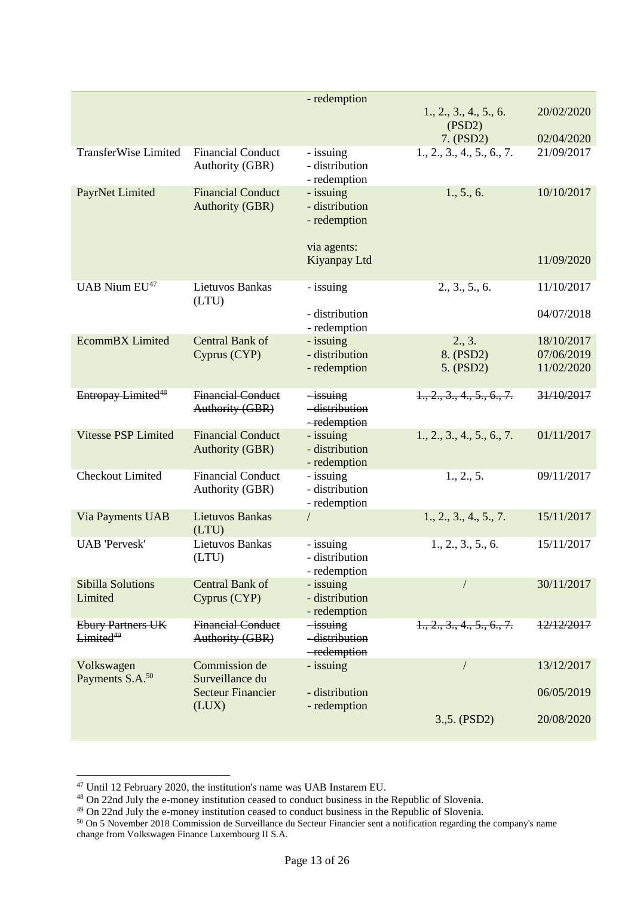|                                |                          | - redemption   |                            |            |
|--------------------------------|--------------------------|----------------|----------------------------|------------|
|                                |                          |                | 1., 2., 3., 4., 5., 6.     | 20/02/2020 |
|                                |                          |                | (PSD2)                     |            |
|                                |                          |                | 7. (PSD2)                  | 02/04/2020 |
| <b>TransferWise Limited</b>    | <b>Financial Conduct</b> | - issuing      | 1., 2., 3., 4., 5., 6., 7. | 21/09/2017 |
|                                | Authority (GBR)          | - distribution |                            |            |
|                                |                          | - redemption   |                            |            |
| PayrNet Limited                | <b>Financial Conduct</b> | - issuing      | 1., 5., 6.                 | 10/10/2017 |
|                                | <b>Authority (GBR)</b>   | - distribution |                            |            |
|                                |                          | - redemption   |                            |            |
|                                |                          |                |                            |            |
|                                |                          | via agents:    |                            |            |
|                                |                          | Kiyanpay Ltd   |                            | 11/09/2020 |
|                                |                          |                |                            |            |
| UAB Nium EU <sup>47</sup>      | Lietuvos Bankas          | - issuing      | 2., 3., 5., 6.             | 11/10/2017 |
|                                | (LTU)                    |                |                            |            |
|                                |                          | - distribution |                            | 04/07/2018 |
|                                |                          | - redemption   |                            |            |
| <b>EcommBX</b> Limited         | Central Bank of          | - issuing      | 2., 3.                     | 18/10/2017 |
|                                | Cyprus (CYP)             | - distribution | 8. (PSD2)                  | 07/06/2019 |
|                                |                          | - redemption   | 5. (PSD2)                  | 11/02/2020 |
|                                |                          |                |                            |            |
| Entropay Limited <sup>48</sup> | <b>Financial Conduct</b> | $-i$ ssuing    | 1., 2., 3., 4., 5., 6., 7. | 31/10/2017 |
|                                | <b>Authority (GBR)</b>   | -distribution  |                            |            |
|                                |                          | -redemption    |                            |            |
| <b>Vitesse PSP Limited</b>     | <b>Financial Conduct</b> | - issuing      | 1., 2., 3., 4., 5., 6., 7. | 01/11/2017 |
|                                | <b>Authority (GBR)</b>   | - distribution |                            |            |
|                                |                          | - redemption   |                            |            |
| <b>Checkout Limited</b>        | <b>Financial Conduct</b> | - issuing      | 1., 2., 5.                 | 09/11/2017 |
|                                | Authority (GBR)          | - distribution |                            |            |
|                                |                          | - redemption   |                            |            |
| Via Payments UAB               | <b>Lietuvos Bankas</b>   |                | 1., 2., 3., 4., 5., 7.     | 15/11/2017 |
|                                | (LTU)                    |                |                            |            |
| <b>UAB</b> 'Pervesk'           | Lietuvos Bankas          | - issuing      | 1., 2., 3., 5., 6.         | 15/11/2017 |
|                                | (LTU)                    | - distribution |                            |            |
|                                |                          | - redemption   |                            |            |
| <b>Sibilla Solutions</b>       | <b>Central Bank of</b>   | - issuing      |                            | 30/11/2017 |
| Limited                        | Cyprus (CYP)             | - distribution |                            |            |
|                                |                          | - redemption   |                            |            |
| <b>Ebury Partners UK</b>       | <b>Financial Conduct</b> | $-i$ ssuing    | 1., 2., 3., 4., 5., 6., 7. | 12/12/2017 |
| Limited <sup>49</sup>          | Authority (GBR)          | -distribution  |                            |            |
|                                |                          | -redemption    |                            |            |
| Volkswagen                     | Commission de            | - issuing      |                            | 13/12/2017 |
| Payments S.A. <sup>50</sup>    | Surveillance du          |                |                            |            |
|                                | <b>Secteur Financier</b> | - distribution |                            | 06/05/2019 |
|                                | (LUX)                    | - redemption   |                            |            |
|                                |                          |                | $3.,5.$ (PSD2)             | 20/08/2020 |
|                                |                          |                |                            |            |

<sup>&</sup>lt;sup>47</sup> Until 12 February 2020, the institution's name was UAB Instarem EU.

<sup>&</sup>lt;sup>48</sup> On 22nd July the e-money institution ceased to conduct business in the Republic of Slovenia.

<sup>&</sup>lt;sup>49</sup> On 22nd July the e-money institution ceased to conduct business in the Republic of Slovenia.

<sup>&</sup>lt;sup>50</sup> On 5 November 2018 Commission de Surveillance du Secteur Financier sent a notification regarding the company's name change from Volkswagen Finance Luxembourg II S.A.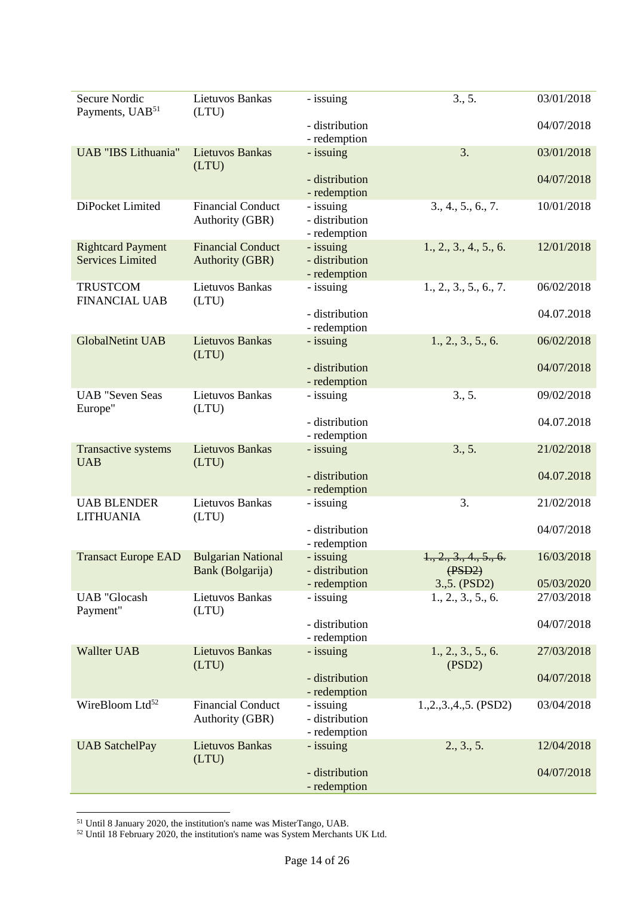| <b>Secure Nordic</b><br>Payments, UAB <sup>51</sup> | Lietuvos Bankas<br>(LTU)                           | - issuing                                   | 3., 5.                           | 03/01/2018 |
|-----------------------------------------------------|----------------------------------------------------|---------------------------------------------|----------------------------------|------------|
|                                                     |                                                    | - distribution<br>- redemption              |                                  | 04/07/2018 |
| <b>UAB</b> "IBS Lithuania"                          | <b>Lietuvos Bankas</b><br>(LTU)                    | - issuing                                   | 3.                               | 03/01/2018 |
|                                                     |                                                    | - distribution<br>- redemption              |                                  | 04/07/2018 |
| DiPocket Limited                                    | <b>Financial Conduct</b><br>Authority (GBR)        | - issuing<br>- distribution<br>- redemption | 3., 4., 5., 6., 7.               | 10/01/2018 |
| <b>Rightcard Payment</b><br><b>Services Limited</b> | <b>Financial Conduct</b><br><b>Authority (GBR)</b> | - issuing<br>- distribution<br>- redemption | 1., 2., 3., 4., 5., 6.           | 12/01/2018 |
| <b>TRUSTCOM</b><br><b>FINANCIAL UAB</b>             | Lietuvos Bankas<br>(LTU)                           | - issuing                                   | 1., 2., 3., 5., 6., 7.           | 06/02/2018 |
|                                                     |                                                    | - distribution<br>- redemption              |                                  | 04.07.2018 |
| <b>GlobalNetint UAB</b>                             | <b>Lietuvos Bankas</b><br>(LTU)                    | - issuing                                   | 1., 2., 3., 5., 6.               | 06/02/2018 |
|                                                     |                                                    | - distribution<br>- redemption              |                                  | 04/07/2018 |
| <b>UAB</b> "Seven Seas<br>Europe"                   | Lietuvos Bankas<br>(LTU)                           | - issuing                                   | 3., 5.                           | 09/02/2018 |
|                                                     |                                                    | - distribution<br>- redemption              |                                  | 04.07.2018 |
| Transactive systems<br><b>UAB</b>                   | <b>Lietuvos Bankas</b><br>(LTU)                    | - issuing                                   | 3., 5.                           | 21/02/2018 |
|                                                     |                                                    | - distribution<br>- redemption              |                                  | 04.07.2018 |
| <b>UAB BLENDER</b><br><b>LITHUANIA</b>              | Lietuvos Bankas<br>(LTU)                           | - issuing                                   | 3.                               | 21/02/2018 |
|                                                     |                                                    | - distribution<br>- redemption              |                                  | 04/07/2018 |
| <b>Transact Europe EAD</b>                          | <b>Bulgarian National</b><br>Bank (Bolgarija)      | - issuing<br>- distribution                 | 1., 2., 3., 4., 5., 6.<br>(PSD2) | 16/03/2018 |
|                                                     |                                                    | - redemption                                | 3.,5. (PSD2)                     | 05/03/2020 |
| <b>UAB</b> "Glocash<br>Payment"                     | Lietuvos Bankas<br>(LTU)                           | - issuing                                   | 1., 2., 3., 5., 6.               | 27/03/2018 |
|                                                     |                                                    | - distribution<br>- redemption              |                                  | 04/07/2018 |
| <b>Wallter UAB</b>                                  | <b>Lietuvos Bankas</b><br>(LTU)                    | - issuing                                   | 1., 2., 3., 5., 6.<br>(PSD2)     | 27/03/2018 |
|                                                     |                                                    | - distribution<br>- redemption              |                                  | 04/07/2018 |
| WireBloom Ltd <sup>52</sup>                         | <b>Financial Conduct</b><br>Authority (GBR)        | - issuing<br>- distribution<br>- redemption | $1.,2.,3.,4.,5.$ (PSD2)          | 03/04/2018 |
| <b>UAB SatchelPay</b>                               | <b>Lietuvos Bankas</b><br>(LTU)                    | - issuing                                   | 2., 3., 5.                       | 12/04/2018 |
|                                                     |                                                    | - distribution<br>- redemption              |                                  | 04/07/2018 |

<sup>1</sup> <sup>51</sup> Until 8 January 2020, the institution's name was MisterTango, UAB.

 $52$  Until 18 February 2020, the institution's name was System Merchants UK Ltd.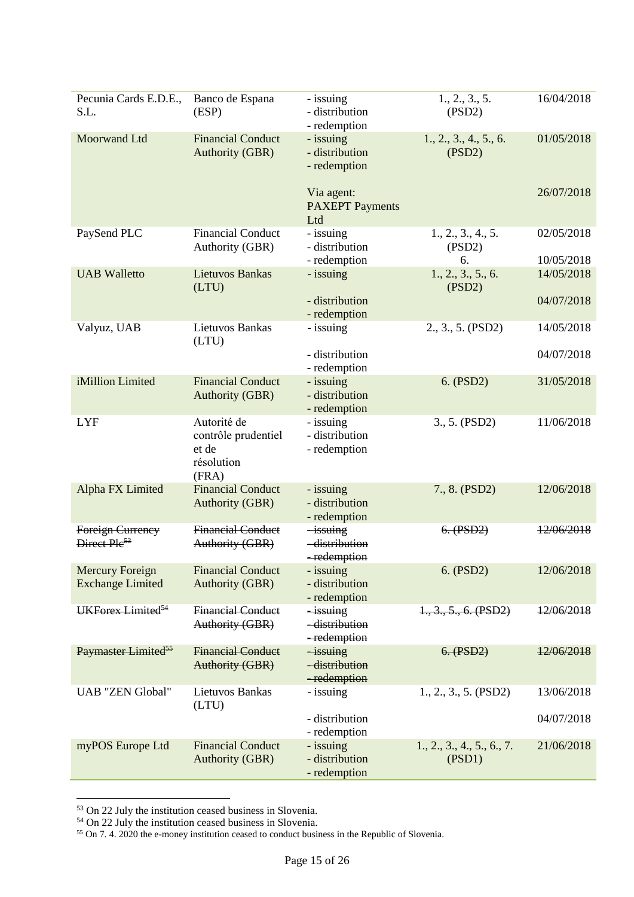| Pecunia Cards E.D.E.,<br>S.L.                       | Banco de Espana<br>(ESP)                                           | - issuing<br>- distribution<br>- redemption    | 1., 2., 3., 5.<br>(PSD2)             | 16/04/2018               |
|-----------------------------------------------------|--------------------------------------------------------------------|------------------------------------------------|--------------------------------------|--------------------------|
| <b>Moorwand Ltd</b>                                 | <b>Financial Conduct</b><br><b>Authority (GBR)</b>                 | - issuing<br>- distribution<br>- redemption    | 1., 2., 3., 4., 5., 6.<br>(PSD2)     | 01/05/2018               |
|                                                     |                                                                    | Via agent:<br><b>PAXEPT</b> Payments<br>Ltd    |                                      | 26/07/2018               |
| PaySend PLC                                         | <b>Financial Conduct</b><br>Authority (GBR)                        | - issuing<br>- distribution<br>- redemption    | 1., 2., 3., 4., 5.<br>(PSD2)<br>6.   | 02/05/2018<br>10/05/2018 |
| <b>UAB Walletto</b>                                 | <b>Lietuvos Bankas</b><br>(LTU)                                    | - issuing                                      | 1., 2., 3., 5., 6.<br>(PSD2)         | 14/05/2018               |
|                                                     |                                                                    | - distribution<br>- redemption                 |                                      | 04/07/2018               |
| Valyuz, UAB                                         | Lietuvos Bankas<br>(LTU)                                           | - issuing                                      | 2., 3., 5. (PSD2)                    | 14/05/2018               |
|                                                     |                                                                    | - distribution<br>- redemption                 |                                      | 04/07/2018               |
| iMillion Limited                                    | <b>Financial Conduct</b><br><b>Authority (GBR)</b>                 | - issuing<br>- distribution<br>- redemption    | 6. (PSD2)                            | 31/05/2018               |
| <b>LYF</b>                                          | Autorité de<br>contrôle prudentiel<br>et de<br>résolution<br>(FRA) | - issuing<br>- distribution<br>- redemption    | 3., 5. (PSD2)                        | 11/06/2018               |
| Alpha FX Limited                                    | <b>Financial Conduct</b><br><b>Authority (GBR)</b>                 | - issuing<br>- distribution<br>- redemption    | 7., 8. (PSD2)                        | 12/06/2018               |
| <b>Foreign Currency</b><br>Direct Ple <sup>53</sup> | <b>Financial Conduct</b><br>Authority (GBR)                        | <i>issuing</i><br>-distribution<br>-redemption | 6. (PSD2)                            | 12/06/2018               |
| <b>Mercury Foreign</b><br><b>Exchange Limited</b>   | <b>Financial Conduct</b><br><b>Authority (GBR)</b>                 | - issuing<br>- distribution<br>- redemption    | 6. (PSD2)                            | 12/06/2018               |
| UKForex Limited <sup>54</sup>                       | <b>Financial Conduct</b><br>Authority (GBR)                        | $-i$ ssuing<br>-distribution<br>-redemption    | 1., 3., 5., 6. (PSD2)                | 12/06/2018               |
| Paymaster Limited <sup>55</sup>                     | <b>Financial Conduct</b><br><b>Authority (GBR)</b>                 | <i>issuing</i><br>-distribution<br>-redemption | 6. (PSD2)                            | 12/06/2018               |
| <b>UAB "ZEN Global"</b>                             | Lietuvos Bankas<br>(LTU)                                           | - issuing                                      | 1., 2., 3., 5. (PSD2)                | 13/06/2018               |
|                                                     |                                                                    | - distribution<br>- redemption                 |                                      | 04/07/2018               |
| myPOS Europe Ltd                                    | <b>Financial Conduct</b><br><b>Authority (GBR)</b>                 | - issuing<br>- distribution<br>- redemption    | 1., 2., 3., 4., 5., 6., 7.<br>(PSD1) | 21/06/2018               |

<sup>&</sup>lt;sup>53</sup> On 22 July the institution ceased business in Slovenia.

<sup>&</sup>lt;sup>54</sup> On 22 July the institution ceased business in Slovenia.

<sup>&</sup>lt;sup>55</sup> On 7.4. 2020 the e-money institution ceased to conduct business in the Republic of Slovenia.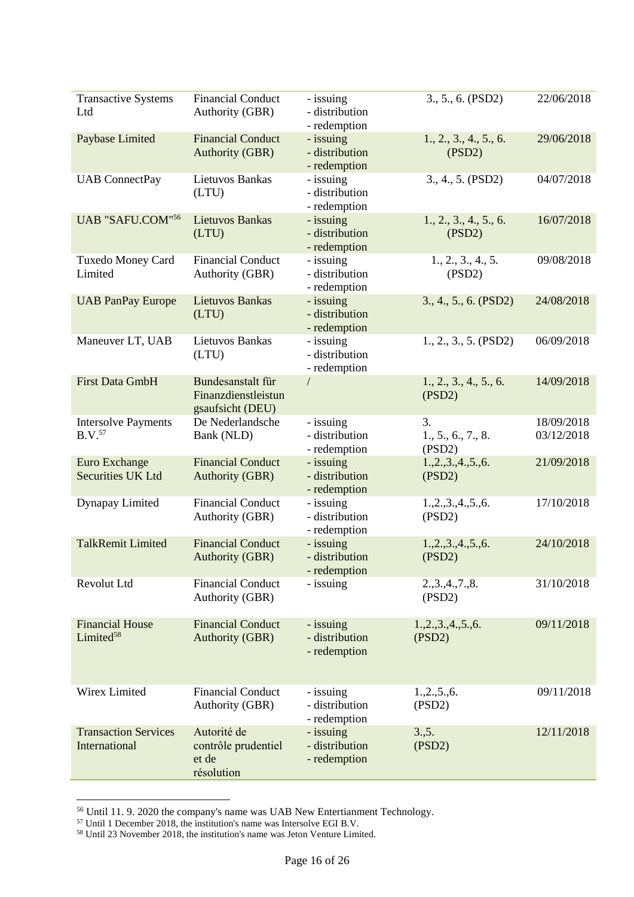| <b>Transactive Systems</b><br>Ltd                | <b>Financial Conduct</b><br>Authority (GBR)                  | - issuing<br>- distribution<br>- redemption | 3., 5., 6. (PSD2)                  | 22/06/2018               |
|--------------------------------------------------|--------------------------------------------------------------|---------------------------------------------|------------------------------------|--------------------------|
| Paybase Limited                                  | <b>Financial Conduct</b><br><b>Authority (GBR)</b>           | - issuing<br>- distribution<br>- redemption | 1., 2., 3., 4., 5., 6.<br>(PSD2)   | 29/06/2018               |
| <b>UAB</b> ConnectPay                            | Lietuvos Bankas<br>(LTU)                                     | - issuing<br>- distribution<br>- redemption | 3., 4., 5. (PSD2)                  | 04/07/2018               |
| UAB "SAFU.COM"56                                 | <b>Lietuvos Bankas</b><br>(LTU)                              | - issuing<br>- distribution<br>- redemption | 1., 2., 3., 4., 5., 6.<br>(PSD2)   | 16/07/2018               |
| Tuxedo Money Card<br>Limited                     | <b>Financial Conduct</b><br>Authority (GBR)                  | - issuing<br>- distribution<br>- redemption | 1., 2., 3., 4., 5.<br>(PSD2)       | 09/08/2018               |
| <b>UAB PanPay Europe</b>                         | <b>Lietuvos Bankas</b><br>(LTU)                              | - issuing<br>- distribution<br>- redemption | 3., 4., 5., 6. (PSD2)              | 24/08/2018               |
| Maneuver LT, UAB                                 | Lietuvos Bankas<br>(LTU)                                     | - issuing<br>- distribution<br>- redemption | 1., 2., 3., 5. (PSD2)              | 06/09/2018               |
| <b>First Data GmbH</b>                           | Bundesanstalt für<br>Finanzdienstleistun<br>gsaufsicht (DEU) | $\sqrt{2}$                                  | 1., 2., 3., 4., 5., 6.<br>(PSD2)   | 14/09/2018               |
| <b>Intersolve Payments</b><br>B.V. <sup>57</sup> | De Nederlandsche<br>Bank (NLD)                               | - issuing<br>- distribution<br>- redemption | 3.<br>1., 5., 6., 7., 8.<br>(PSD2) | 18/09/2018<br>03/12/2018 |
| <b>Euro Exchange</b><br><b>Securities UK Ltd</b> | <b>Financial Conduct</b><br><b>Authority (GBR)</b>           | - issuing<br>- distribution<br>- redemption | 1.,2.,3.,4.,5.,6.<br>(PSD2)        | 21/09/2018               |
| Dynapay Limited                                  | <b>Financial Conduct</b><br>Authority (GBR)                  | - issuing<br>- distribution<br>- redemption | 1.,2.,3.,4.,5.,6.<br>(PSD2)        | 17/10/2018               |
| <b>TalkRemit Limited</b>                         | <b>Financial Conduct</b><br><b>Authority (GBR)</b>           | - issuing<br>- distribution<br>- redemption | 1, 2, 3, 4, 5, 6.<br>(PSD2)        | 24/10/2018               |
| Revolut Ltd                                      | <b>Financial Conduct</b><br>Authority (GBR)                  | - issuing                                   | 2.,3.,4.,7.,8.<br>(PSD2)           | 31/10/2018               |
| <b>Financial House</b><br>Limited <sup>58</sup>  | <b>Financial Conduct</b><br><b>Authority (GBR)</b>           | - issuing<br>- distribution<br>- redemption | 1, 2, 3, 4, 5, 6.<br>(PSD2)        | 09/11/2018               |
| Wirex Limited                                    | <b>Financial Conduct</b><br>Authority (GBR)                  | - issuing<br>- distribution<br>- redemption | 1, 2, 5, 6.<br>(PSD2)              | 09/11/2018               |
| <b>Transaction Services</b><br>International     | Autorité de<br>contrôle prudentiel<br>et de<br>résolution    | - issuing<br>- distribution<br>- redemption | 3., 5.<br>(PSD2)                   | 12/11/2018               |

<sup>56</sup> Until 11. 9. 2020 the company's name was UAB New Entertianment Technology.

<sup>57</sup> Until 1 December 2018, the institution's name was Intersolve EGI B.V.

<sup>58</sup> Until 23 November 2018, the institution's name was Jeton Venture Limited.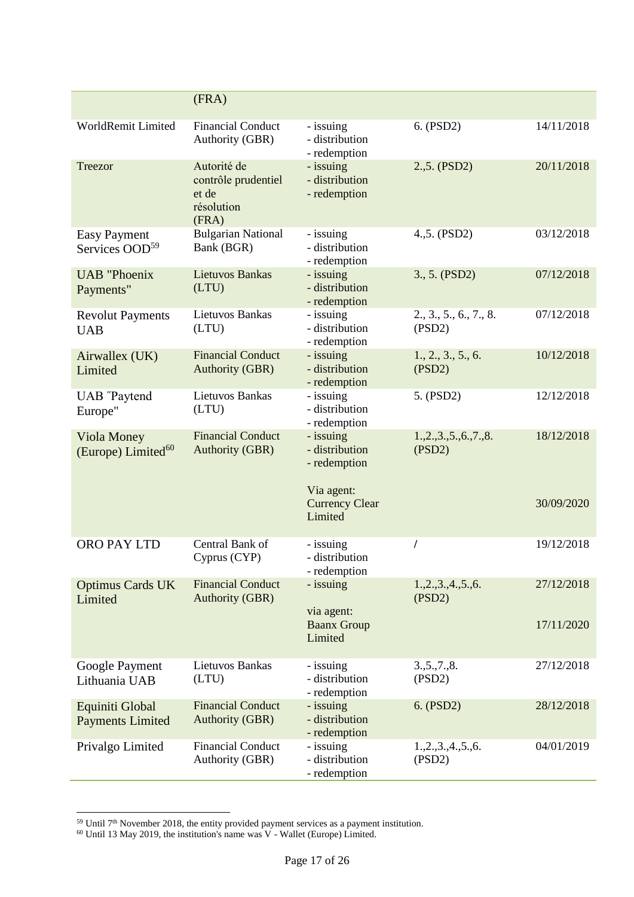|                                                   | (FRA)                                                              |                                                                                               |                                  |                          |
|---------------------------------------------------|--------------------------------------------------------------------|-----------------------------------------------------------------------------------------------|----------------------------------|--------------------------|
| WorldRemit Limited                                | <b>Financial Conduct</b><br>Authority (GBR)                        | - issuing<br>- distribution<br>- redemption                                                   | 6. (PSD2)                        | 14/11/2018               |
| Treezor                                           | Autorité de<br>contrôle prudentiel<br>et de<br>résolution<br>(FRA) | - issuing<br>- distribution<br>- redemption                                                   | 2.,5. (PSD2)                     | 20/11/2018               |
| <b>Easy Payment</b><br>Services OOD <sup>59</sup> | <b>Bulgarian National</b><br>Bank (BGR)                            | - issuing<br>- distribution<br>- redemption                                                   | 4.,5. (PSD2)                     | 03/12/2018               |
| <b>UAB</b> "Phoenix<br>Payments"                  | <b>Lietuvos Bankas</b><br>(LTU)                                    | - issuing<br>- distribution<br>- redemption                                                   | 3., 5. (PSD2)                    | 07/12/2018               |
| <b>Revolut Payments</b><br><b>UAB</b>             | Lietuvos Bankas<br>(LTU)                                           | - issuing<br>- distribution<br>- redemption                                                   | 2., 3., 5., 6., 7., 8.<br>(PSD2) | 07/12/2018               |
| Airwallex (UK)<br>Limited                         | <b>Financial Conduct</b><br><b>Authority (GBR)</b>                 | - issuing<br>- distribution<br>- redemption                                                   | 1., 2., 3., 5., 6.<br>(PSD2)     | 10/12/2018               |
| <b>UAB</b> "Paytend<br>Europe"                    | <b>Lietuvos Bankas</b><br>(LTU)                                    | - issuing<br>- distribution<br>- redemption                                                   | 5. (PSD2)                        | 12/12/2018               |
| Viola Money<br>(Europe) Limited <sup>60</sup>     | <b>Financial Conduct</b><br><b>Authority (GBR)</b>                 | - issuing<br>- distribution<br>- redemption<br>Via agent:<br><b>Currency Clear</b><br>Limited | 1, 2, 3, 5, 6, 7, 8.<br>(PSD2)   | 18/12/2018<br>30/09/2020 |
| ORO PAY LTD                                       | Central Bank of<br>Cyprus (CYP)                                    | - issuing<br>- distribution<br>- redemption                                                   |                                  | 19/12/2018               |
| <b>Optimus Cards UK</b><br>Limited                | <b>Financial Conduct</b><br><b>Authority (GBR)</b>                 | - issuing<br>via agent:                                                                       | 1.,2.,3.,4.,5.,6.<br>(PSD2)      | 27/12/2018               |
|                                                   |                                                                    | <b>Baanx Group</b><br>Limited                                                                 |                                  | 17/11/2020               |
| Google Payment<br>Lithuania UAB                   | Lietuvos Bankas<br>(LTU)                                           | - issuing<br>- distribution<br>- redemption                                                   | 3, 5, 7, 8.<br>(PSD2)            | 27/12/2018               |
| Equiniti Global<br><b>Payments Limited</b>        | <b>Financial Conduct</b><br><b>Authority (GBR)</b>                 | - issuing<br>- distribution<br>- redemption                                                   | 6. (PSD2)                        | 28/12/2018               |
| Privalgo Limited                                  | <b>Financial Conduct</b><br>Authority (GBR)                        | - issuing<br>- distribution<br>- redemption                                                   | 1, 2, 3, 4, 5, 6.<br>(PSD2)      | 04/01/2019               |

 $59$  Until  $7<sup>th</sup>$  November 2018, the entity provided payment services as a payment institution.

 $60$  Until 13 May 2019, the institution's name was V - Wallet (Europe) Limited.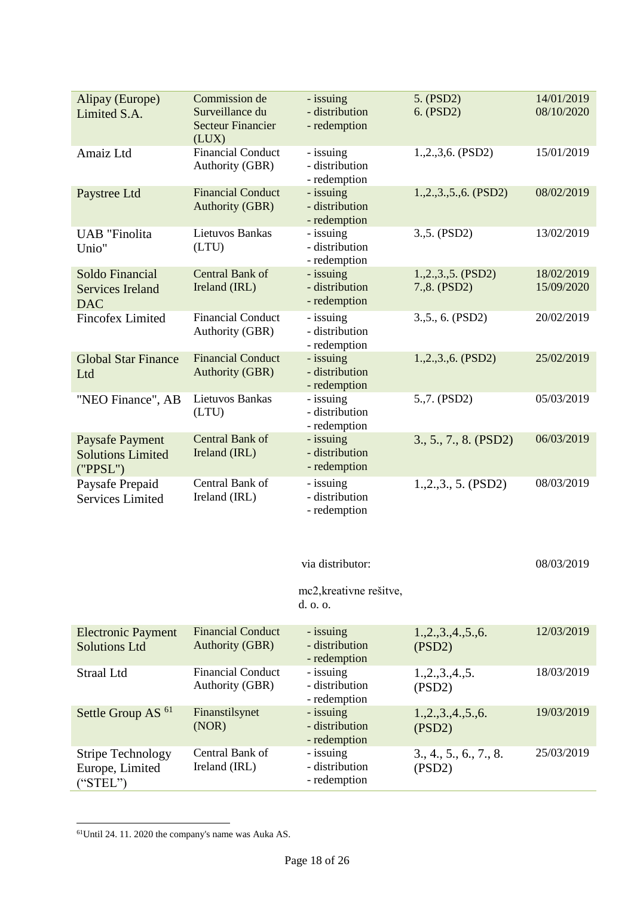| Alipay (Europe)<br>Limited S.A.                                | Commission de<br>Surveillance du<br><b>Secteur Financier</b><br>(LUX) | - issuing<br>- distribution<br>- redemption                 | 5. (PSD2)<br>6. (PSD2)                | 14/01/2019<br>08/10/2020 |
|----------------------------------------------------------------|-----------------------------------------------------------------------|-------------------------------------------------------------|---------------------------------------|--------------------------|
| Amaiz Ltd                                                      | <b>Financial Conduct</b><br>Authority (GBR)                           | - issuing<br>- distribution<br>- redemption                 | $1.,2.,3,6.$ (PSD2)                   | 15/01/2019               |
| Paystree Ltd                                                   | <b>Financial Conduct</b><br><b>Authority (GBR)</b>                    | - issuing<br>- distribution<br>- redemption                 | $1, 2, 3, 5, 6$ . (PSD2)              | 08/02/2019               |
| <b>UAB</b> "Finolita<br>Unio"                                  | Lietuvos Bankas<br>(LTU)                                              | - issuing<br>- distribution<br>- redemption                 | 3.,5. (PSD2)                          | 13/02/2019               |
| Soldo Financial<br><b>Services Ireland</b><br><b>DAC</b>       | Central Bank of<br>Ireland (IRL)                                      | - issuing<br>- distribution<br>- redemption                 | $1, 2, 3, 5$ . (PSD2)<br>7.,8. (PSD2) | 18/02/2019<br>15/09/2020 |
| <b>Fincofex Limited</b>                                        | <b>Financial Conduct</b><br>Authority (GBR)                           | - issuing<br>- distribution<br>- redemption                 | 3., 5., 6. (PSD2)                     | 20/02/2019               |
| <b>Global Star Finance</b><br>Ltd                              | <b>Financial Conduct</b><br><b>Authority (GBR)</b>                    | - issuing<br>- distribution<br>- redemption                 | $1, 2, 3, 6$ . (PSD2)                 | 25/02/2019               |
| "NEO Finance", AB                                              | Lietuvos Bankas<br>(LTU)                                              | - issuing<br>- distribution<br>- redemption                 | 5.,7. (PSD2)                          | 05/03/2019               |
| <b>Paysafe Payment</b><br><b>Solutions Limited</b><br>('PPSL") | Central Bank of<br>Ireland (IRL)                                      | - issuing<br>- distribution<br>- redemption                 | 3., 5., 7., 8. (PSD2)                 | 06/03/2019               |
| Paysafe Prepaid<br><b>Services Limited</b>                     | Central Bank of<br>Ireland (IRL)                                      | - issuing<br>- distribution<br>- redemption                 | $1, 2, 3, 5$ . (PSD2)                 | 08/03/2019               |
|                                                                |                                                                       | via distributor:<br>mc2, kreativne rešitve,<br>$d.$ o. o.   |                                       | 08/03/2019               |
| <b>Electronic Payment</b><br><b>Solutions Ltd</b>              | <b>Financial Conduct</b><br><b>Authority (GBR)</b>                    | - issuing<br>- distribution                                 | 1, 2, 3, 4, 5, 6.<br>(PSD2)           | 12/03/2019               |
| <b>Straal Ltd</b>                                              | <b>Financial Conduct</b><br>Authority (GBR)                           | - redemption<br>- issuing<br>- distribution<br>- redemption | 1, 2, 3, 4, 5.<br>(PSD2)              | 18/03/2019               |
| Settle Group AS <sup>61</sup>                                  | Finanstilsynet<br>(NOR)                                               | - issuing<br>- distribution<br>- redemption                 | 1, 2, 3, 4, 5, 6.<br>(PSD2)           | 19/03/2019               |

61Until 24. 11. 2020 the company's name was Auka AS.

Central Bank of Ireland (IRL)

Stripe Technology Europe, Limited

("STEL")

-

- issuing - distribution - redemption

3., 4., 5., 6., 7., 8.

25/03/2019

(PSD2)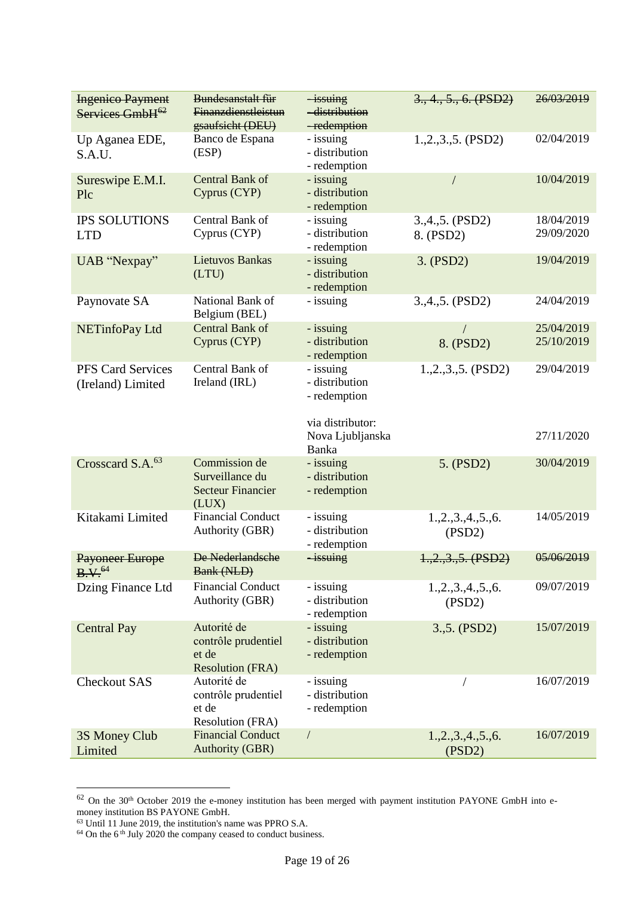| <b>Ingenico Payment</b><br>Services GmbH <sup>62</sup> | Bundesanstalt für<br><b>Finanzdienstleistun</b><br>gsaufsicht (DEU)    | $-i$ ssuing<br>-distribution<br>-redemption                     | 3., 4., 5., 6. (PSD2)        | 26/03/2019               |
|--------------------------------------------------------|------------------------------------------------------------------------|-----------------------------------------------------------------|------------------------------|--------------------------|
| Up Aganea EDE,<br>S.A.U.                               | Banco de Espana<br>(ESP)                                               | - issuing<br>- distribution<br>- redemption                     | 1.,2.,3.,5. (PSD2)           | 02/04/2019               |
| Sureswipe E.M.I.<br>Plc                                | Central Bank of<br>Cyprus (CYP)                                        | - issuing<br>- distribution<br>- redemption                     | /                            | 10/04/2019               |
| <b>IPS SOLUTIONS</b><br><b>LTD</b>                     | Central Bank of<br>Cyprus (CYP)                                        | - issuing<br>- distribution<br>- redemption                     | $3,4,5.$ (PSD2)<br>8. (PSD2) | 18/04/2019<br>29/09/2020 |
| UAB "Nexpay"                                           | <b>Lietuvos Bankas</b><br>(LTU)                                        | - issuing<br>- distribution<br>- redemption                     | 3. (PSD2)                    | 19/04/2019               |
| Paynovate SA                                           | National Bank of<br>Belgium (BEL)                                      | - issuing                                                       | 3.,4.,5. (PSD2)              | 24/04/2019               |
| NETinfoPay Ltd                                         | Central Bank of<br>Cyprus (CYP)                                        | - issuing<br>- distribution<br>- redemption                     | 8. (PSD2)                    | 25/04/2019<br>25/10/2019 |
| <b>PFS Card Services</b><br>(Ireland) Limited          | Central Bank of<br>Ireland (IRL)                                       | - issuing<br>- distribution<br>- redemption<br>via distributor: | $1.,2.,3.,5.$ (PSD2)         | 29/04/2019               |
|                                                        |                                                                        | Nova Ljubljanska<br>Banka                                       |                              | 27/11/2020               |
| Crosscard S.A. <sup>63</sup>                           | Commission de<br>Surveillance du<br><b>Secteur Financier</b><br>(LUX)  | - issuing<br>- distribution<br>- redemption                     | 5. (PSD2)                    | 30/04/2019               |
| Kitakami Limited                                       | <b>Financial Conduct</b><br>Authority (GBR)                            | - issuing<br>- distribution<br>- redemption                     | 1, 2, 3, 4, 5, 6.<br>(PSD2)  | 14/05/2019               |
| <b>Payoneer Europe</b><br>B.V. <sup>64</sup>           | De Nederlandsche<br><b>Bank (NLD)</b>                                  | $-i$ ssuing                                                     | $1, 2, 3, 5$ . (PSD2)        | 05/06/2019               |
| Dzing Finance Ltd                                      | <b>Financial Conduct</b><br>Authority (GBR)                            | - issuing<br>- distribution<br>- redemption                     | 1, 2, 3, 4, 5, 6.<br>(PSD2)  | 09/07/2019               |
| <b>Central Pay</b>                                     | Autorité de<br>contrôle prudentiel<br>et de<br><b>Resolution (FRA)</b> | - issuing<br>- distribution<br>- redemption                     | 3.,5. (PSD2)                 | 15/07/2019               |
| <b>Checkout SAS</b>                                    | Autorité de<br>contrôle prudentiel<br>et de<br><b>Resolution (FRA)</b> | - issuing<br>- distribution<br>- redemption                     |                              | 16/07/2019               |
| 3S Money Club<br>Limited                               | <b>Financial Conduct</b><br><b>Authority (GBR)</b>                     | $\sqrt{2}$                                                      | 1, 2, 3, 4, 5, 6.<br>(PSD2)  | 16/07/2019               |

 $62$  On the 30<sup>th</sup> October 2019 the e-money institution has been merged with payment institution PAYONE GmbH into emoney institution BS PAYONE GmbH.

<sup>63</sup> Until 11 June 2019, the institution's name was PPRO S.A.

<sup>&</sup>lt;sup>64</sup> On the 6<sup>th</sup> July 2020 the company ceased to conduct business.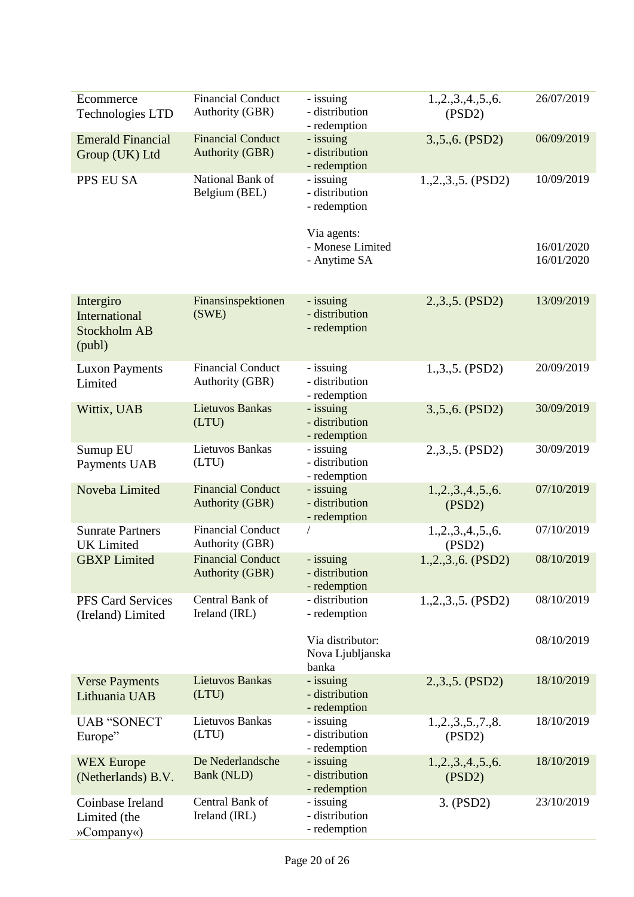| Ecommerce<br><b>Technologies LTD</b>                        | <b>Financial Conduct</b><br>Authority (GBR)        | - issuing<br>- distribution<br>- redemption     | 1, 2, 3, 4, 5, 6.<br>(PSD2) | 26/07/2019               |
|-------------------------------------------------------------|----------------------------------------------------|-------------------------------------------------|-----------------------------|--------------------------|
| <b>Emerald Financial</b><br>Group (UK) Ltd                  | <b>Financial Conduct</b><br><b>Authority (GBR)</b> | - issuing<br>- distribution<br>- redemption     | 3., 5., 6. (PSD2)           | 06/09/2019               |
| PPS EU SA                                                   | National Bank of<br>Belgium (BEL)                  | - issuing<br>- distribution<br>- redemption     | 1.,2.,3.,5. (PSD2)          | 10/09/2019               |
|                                                             |                                                    | Via agents:<br>- Monese Limited<br>- Anytime SA |                             | 16/01/2020<br>16/01/2020 |
| Intergiro<br>International<br><b>Stockholm AB</b><br>(publ) | Finansinspektionen<br>(SWE)                        | - issuing<br>- distribution<br>- redemption     | 2.,3.,5. (PSD2)             | 13/09/2019               |
| <b>Luxon Payments</b><br>Limited                            | <b>Financial Conduct</b><br>Authority (GBR)        | - issuing<br>- distribution<br>- redemption     | 1.,3.,5. (PSD2)             | 20/09/2019               |
| Wittix, UAB                                                 | <b>Lietuvos Bankas</b><br>(LTU)                    | - issuing<br>- distribution<br>- redemption     | 3., 5., 6. (PSD2)           | 30/09/2019               |
| Sumup EU<br>Payments UAB                                    | Lietuvos Bankas<br>(LTU)                           | - issuing<br>- distribution<br>- redemption     | 2.,3.,5. (PSD2)             | 30/09/2019               |
| Noveba Limited                                              | <b>Financial Conduct</b><br><b>Authority (GBR)</b> | - issuing<br>- distribution<br>- redemption     | 1, 2, 3, 4, 5, 6.<br>(PSD2) | 07/10/2019               |
| <b>Sunrate Partners</b><br><b>UK</b> Limited                | <b>Financial Conduct</b><br>Authority (GBR)        |                                                 | 1, 2, 3, 4, 5, 6.<br>(PSD2) | 07/10/2019               |
| <b>GBXP</b> Limited                                         | <b>Financial Conduct</b><br><b>Authority (GBR)</b> | - issuing<br>- distribution<br>- redemption     | $1.,2.,3.,6.$ (PSD2)        | 08/10/2019               |
| <b>PFS Card Services</b><br>(Ireland) Limited               | Central Bank of<br>Ireland (IRL)                   | - distribution<br>- redemption                  | $1, 2, 3, 5$ . (PSD2)       | 08/10/2019               |
|                                                             |                                                    | Via distributor:<br>Nova Ljubljanska<br>banka   |                             | 08/10/2019               |
| <b>Verse Payments</b><br>Lithuania UAB                      | <b>Lietuvos Bankas</b><br>(LTU)                    | - issuing<br>- distribution<br>- redemption     | 2.,3.,5. (PSD2)             | 18/10/2019               |
| <b>UAB "SONECT</b><br>Europe"                               | Lietuvos Bankas<br>(LTU)                           | - issuing<br>- distribution<br>- redemption     | 1, 2, 3, 5, 7, 8.<br>(PSD2) | 18/10/2019               |
| <b>WEX Europe</b><br>(Netherlands) B.V.                     | De Nederlandsche<br>Bank (NLD)                     | - issuing<br>- distribution<br>- redemption     | 1, 2, 3, 4, 5, 6.<br>(PSD2) | 18/10/2019               |
| Coinbase Ireland<br>Limited (the<br>»Company«)              | Central Bank of<br>Ireland (IRL)                   | - issuing<br>- distribution<br>- redemption     | 3. (PSD2)                   | 23/10/2019               |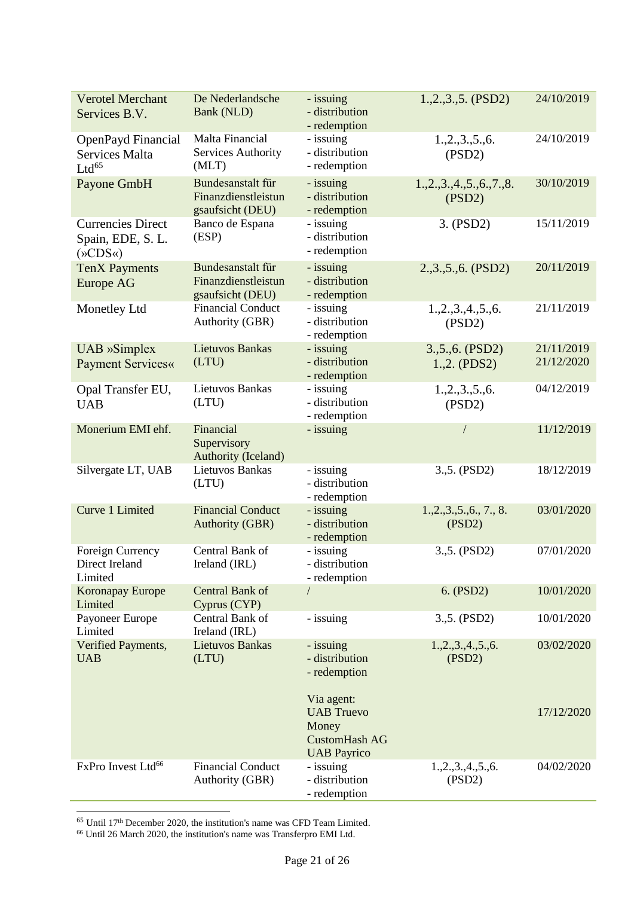| <b>Verotel Merchant</b><br>Services B.V.                                  | De Nederlandsche<br>Bank (NLD)                               | - issuing<br>- distribution<br>- redemption                                            | $1, 2, 3, 5$ . (PSD2)             | 24/10/2019               |
|---------------------------------------------------------------------------|--------------------------------------------------------------|----------------------------------------------------------------------------------------|-----------------------------------|--------------------------|
| OpenPayd Financial<br><b>Services Malta</b><br>$Ltd^{65}$                 | Malta Financial<br>Services Authority<br>(MLT)               | - issuing<br>- distribution<br>- redemption                                            | 1.,2.,3.,5.,6.<br>(PSD2)          | 24/10/2019               |
| Payone GmbH                                                               | Bundesanstalt für<br>Finanzdienstleistun<br>gsaufsicht (DEU) | - issuing<br>- distribution<br>- redemption                                            | 1, 2, 3, 4, 5, 6, 7, 8.<br>(PSD2) | 30/10/2019               |
| <b>Currencies Direct</b><br>Spain, EDE, S. L.<br>$(\times$ CDS $\times$ ) | Banco de Espana<br>(ESP)                                     | - issuing<br>- distribution<br>- redemption                                            | 3. (PSD2)                         | 15/11/2019               |
| <b>TenX Payments</b><br><b>Europe AG</b>                                  | Bundesanstalt für<br>Finanzdienstleistun<br>gsaufsicht (DEU) | - issuing<br>- distribution<br>- redemption                                            | 2.,3.,5.,6. (PSD2)                | 20/11/2019               |
| Monetley Ltd                                                              | <b>Financial Conduct</b><br>Authority (GBR)                  | - issuing<br>- distribution<br>- redemption                                            | 1, 2, 3, 4, 5, 6.<br>(PSD2)       | 21/11/2019               |
| UAB »Simplex<br><b>Payment Services«</b>                                  | <b>Lietuvos Bankas</b><br>(LTU)                              | - issuing<br>- distribution<br>- redemption                                            | 3., 5., 6. (PSD2)<br>1.,2. (PDS2) | 21/11/2019<br>21/12/2020 |
| Opal Transfer EU,<br><b>UAB</b>                                           | Lietuvos Bankas<br>(LTU)                                     | - issuing<br>- distribution<br>- redemption                                            | 1.,2.,3.,5.,6.<br>(PSD2)          | 04/12/2019               |
| Monerium EMI ehf.                                                         | Financial<br>Supervisory<br>Authority (Iceland)              | - issuing                                                                              |                                   | 11/12/2019               |
| Silvergate LT, UAB                                                        | Lietuvos Bankas<br>(LTU)                                     | - issuing<br>- distribution<br>- redemption                                            | 3., 5. (PSD2)                     | 18/12/2019               |
| Curve 1 Limited                                                           | <b>Financial Conduct</b><br><b>Authority (GBR)</b>           | - issuing<br>- distribution<br>- redemption                                            | 1, 2, 3, 5, 6, 7, 8.<br>(PSD2)    | 03/01/2020               |
| Foreign Currency<br>Direct Ireland<br>Limited                             | Central Bank of<br>Ireland (IRL)                             | - issuing<br>- distribution<br>- redemption                                            | 3., 5. (PSD2)                     | 07/01/2020               |
| <b>Koronapay Europe</b><br>Limited                                        | Central Bank of<br>Cyprus (CYP)                              |                                                                                        | 6. (PSD2)                         | 10/01/2020               |
| Payoneer Europe<br>Limited                                                | Central Bank of<br>Ireland (IRL)                             | - issuing                                                                              | 3., 5. (PSD2)                     | 10/01/2020               |
| Verified Payments,<br><b>UAB</b>                                          | <b>Lietuvos Bankas</b><br>(LTU)                              | - issuing<br>- distribution<br>- redemption                                            | 1, 2, 3, 4, 5, 6.<br>(PSD2)       | 03/02/2020               |
|                                                                           |                                                              | Via agent:<br><b>UAB</b> Truevo<br>Money<br><b>CustomHash AG</b><br><b>UAB Payrico</b> |                                   | 17/12/2020               |
| FxPro Invest Ltd <sup>66</sup>                                            | <b>Financial Conduct</b><br>Authority (GBR)                  | - issuing<br>- distribution<br>- redemption                                            | 1.,2.,3.,4.,5.,6.<br>(PSD2)       | 04/02/2020               |

<sup>65</sup> Until 17<sup>th</sup> December 2020, the institution's name was CFD Team Limited.

<sup>66</sup> Until 26 March 2020, the institution's name was Transferpro EMI Ltd.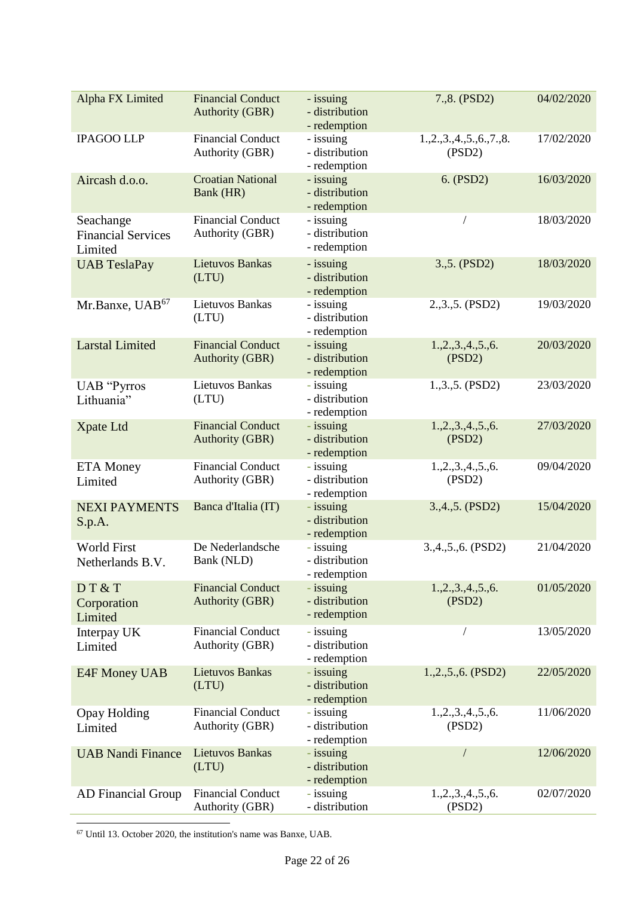| Alpha FX Limited                                  | <b>Financial Conduct</b><br><b>Authority (GBR)</b> | - issuing<br>- distribution<br>- redemption | 7.,8. (PSD2)                      | 04/02/2020 |
|---------------------------------------------------|----------------------------------------------------|---------------------------------------------|-----------------------------------|------------|
| <b>IPAGOO LLP</b>                                 | <b>Financial Conduct</b><br>Authority (GBR)        | - issuing<br>- distribution<br>- redemption | 1, 2, 3, 4, 5, 6, 7, 8.<br>(PSD2) | 17/02/2020 |
| Aircash d.o.o.                                    | <b>Croatian National</b><br>Bank (HR)              | - issuing<br>- distribution<br>- redemption | 6. (PSD2)                         | 16/03/2020 |
| Seachange<br><b>Financial Services</b><br>Limited | <b>Financial Conduct</b><br>Authority (GBR)        | - issuing<br>- distribution<br>- redemption |                                   | 18/03/2020 |
| <b>UAB TeslaPay</b>                               | <b>Lietuvos Bankas</b><br>(LTU)                    | - issuing<br>- distribution<br>- redemption | 3.,5. (PSD2)                      | 18/03/2020 |
| Mr.Banxe, UAB <sup>67</sup>                       | Lietuvos Bankas<br>(LTU)                           | - issuing<br>- distribution<br>- redemption | 2.,3.,5. (PSD2)                   | 19/03/2020 |
| <b>Larstal Limited</b>                            | <b>Financial Conduct</b><br><b>Authority (GBR)</b> | - issuing<br>- distribution<br>- redemption | 1, 2, 3, 4, 5, 6.<br>(PSD2)       | 20/03/2020 |
| <b>UAB</b> "Pyrros<br>Lithuania"                  | Lietuvos Bankas<br>(LTU)                           | - issuing<br>- distribution<br>- redemption | 1.,3.,5. (PSD2)                   | 23/03/2020 |
| Xpate Ltd                                         | <b>Financial Conduct</b><br><b>Authority (GBR)</b> | - issuing<br>- distribution<br>- redemption | 1, 2, 3, 4, 5, 6.<br>(PSD2)       | 27/03/2020 |
| <b>ETA</b> Money<br>Limited                       | <b>Financial Conduct</b><br>Authority (GBR)        | - issuing<br>- distribution<br>- redemption | 1, 2, 3, 4, 5, 6.<br>(PSD2)       | 09/04/2020 |
| <b>NEXI PAYMENTS</b><br>S.p.A.                    | Banca d'Italia (IT)                                | - issuing<br>- distribution<br>- redemption | 3.,4.,5. (PSD2)                   | 15/04/2020 |
| <b>World First</b><br>Netherlands B.V.            | De Nederlandsche<br>Bank (NLD)                     | - issuing<br>- distribution<br>- redemption | 3.,4.,5.,6. (PSD2)                | 21/04/2020 |
| DT&T<br>Corporation<br>Limited                    | <b>Financial Conduct</b><br><b>Authority (GBR)</b> | - issuing<br>- distribution<br>- redemption | 1.,2.,3.,4.,5.,6.<br>(PSD2)       | 01/05/2020 |
| Interpay UK<br>Limited                            | <b>Financial Conduct</b><br>Authority (GBR)        | - issuing<br>- distribution<br>- redemption |                                   | 13/05/2020 |
| E4F Money UAB                                     | <b>Lietuvos Bankas</b><br>(LTU)                    | - issuing<br>- distribution<br>- redemption | $1, 2, 5, 6$ . (PSD2)             | 22/05/2020 |
| <b>Opay Holding</b><br>Limited                    | <b>Financial Conduct</b><br>Authority (GBR)        | - issuing<br>- distribution<br>- redemption | 1.,2.,3.,4.,5.,6.<br>(PSD2)       | 11/06/2020 |
| <b>UAB Nandi Finance</b>                          | <b>Lietuvos Bankas</b><br>(LTU)                    | - issuing<br>- distribution<br>- redemption |                                   | 12/06/2020 |
| <b>AD Financial Group</b>                         | <b>Financial Conduct</b><br>Authority (GBR)        | - issuing<br>- distribution                 | 1, 2, 3, 4, 5, 6.<br>(PSD2)       | 02/07/2020 |

<sup>67</sup> Until 13. October 2020, the institution's name was Banxe, UAB.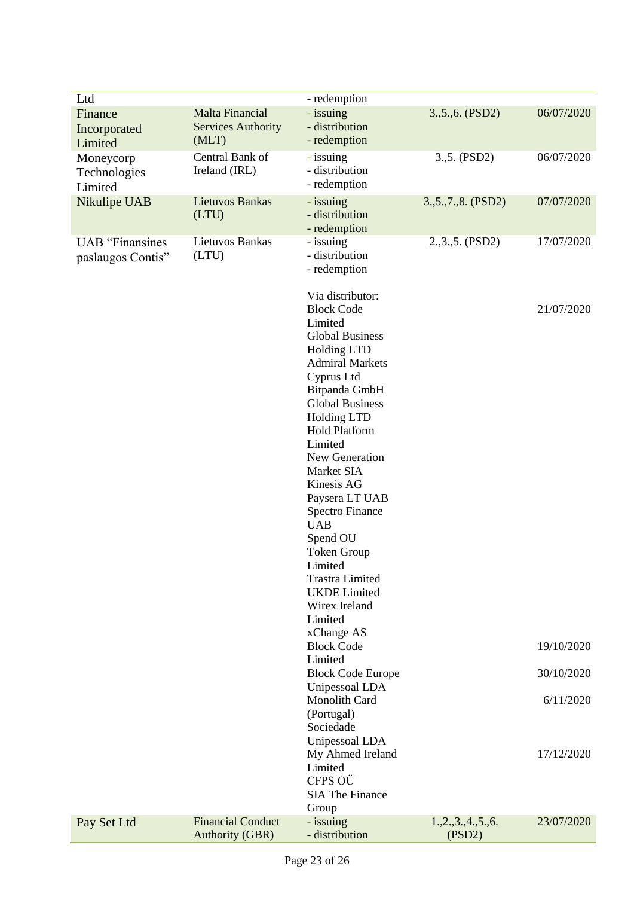| Ltd                                         |                                                       | - redemption                                                                                                                                                                                                                                                                                                                                                                                                                                                                                                                                                                                                                                                                                                          |                             |                                                                   |
|---------------------------------------------|-------------------------------------------------------|-----------------------------------------------------------------------------------------------------------------------------------------------------------------------------------------------------------------------------------------------------------------------------------------------------------------------------------------------------------------------------------------------------------------------------------------------------------------------------------------------------------------------------------------------------------------------------------------------------------------------------------------------------------------------------------------------------------------------|-----------------------------|-------------------------------------------------------------------|
| Finance<br>Incorporated<br>Limited          | Malta Financial<br><b>Services Authority</b><br>(MLT) | - issuing<br>- distribution<br>- redemption                                                                                                                                                                                                                                                                                                                                                                                                                                                                                                                                                                                                                                                                           | 3., 5., 6. (PSD2)           | 06/07/2020                                                        |
| Moneycorp<br>Technologies<br>Limited        | Central Bank of<br>Ireland (IRL)                      | - issuing<br>- distribution<br>- redemption                                                                                                                                                                                                                                                                                                                                                                                                                                                                                                                                                                                                                                                                           | 3.,5. (PSD2)                | 06/07/2020                                                        |
| Nikulipe UAB                                | Lietuvos Bankas<br>(LTU)                              | - issuing<br>- distribution<br>- redemption                                                                                                                                                                                                                                                                                                                                                                                                                                                                                                                                                                                                                                                                           | 3., 5., 7., 8. (PSD2)       | 07/07/2020                                                        |
| <b>UAB</b> "Finansines<br>paslaugos Contis" | Lietuvos Bankas<br>(LTU)                              | - issuing<br>- distribution<br>- redemption                                                                                                                                                                                                                                                                                                                                                                                                                                                                                                                                                                                                                                                                           | 2.,3.,5. (PSD2)             | 17/07/2020                                                        |
|                                             |                                                       | Via distributor:<br><b>Block Code</b><br>Limited<br><b>Global Business</b><br><b>Holding LTD</b><br><b>Admiral Markets</b><br>Cyprus Ltd<br>Bitpanda GmbH<br><b>Global Business</b><br><b>Holding LTD</b><br><b>Hold Platform</b><br>Limited<br>New Generation<br>Market SIA<br>Kinesis AG<br>Paysera LT UAB<br><b>Spectro Finance</b><br><b>UAB</b><br>Spend OU<br><b>Token Group</b><br>Limited<br><b>Trastra Limited</b><br><b>UKDE</b> Limited<br>Wirex Ireland<br>Limited<br>xChange AS<br><b>Block Code</b><br>Limited<br><b>Block Code Europe</b><br>Unipessoal LDA<br>Monolith Card<br>(Portugal)<br>Sociedade<br>Unipessoal LDA<br>My Ahmed Ireland<br>Limited<br>CFPS OÜ<br><b>SIA The Finance</b><br>Group |                             | 21/07/2020<br>19/10/2020<br>30/10/2020<br>6/11/2020<br>17/12/2020 |
| Pay Set Ltd                                 | <b>Financial Conduct</b><br><b>Authority (GBR)</b>    | - issuing<br>- distribution                                                                                                                                                                                                                                                                                                                                                                                                                                                                                                                                                                                                                                                                                           | 1, 2, 3, 4, 5, 6.<br>(PSD2) | 23/07/2020                                                        |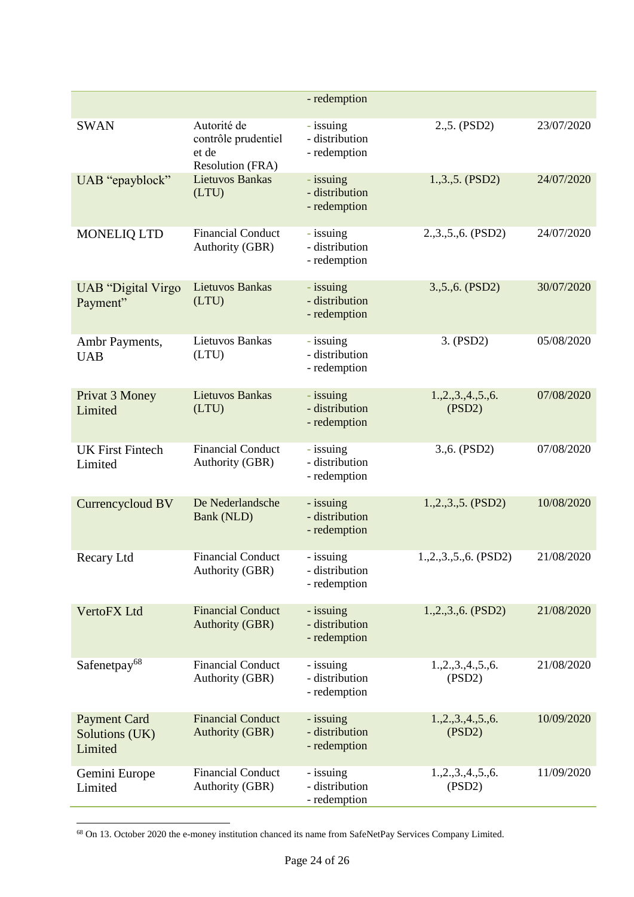|                                                  |                                                                 | - redemption                                |                             |            |
|--------------------------------------------------|-----------------------------------------------------------------|---------------------------------------------|-----------------------------|------------|
| <b>SWAN</b>                                      | Autorité de<br>contrôle prudentiel<br>et de<br>Resolution (FRA) | - issuing<br>- distribution<br>- redemption | 2., 5. (PSD2)               | 23/07/2020 |
| UAB "epayblock"                                  | <b>Lietuvos Bankas</b><br>(LTU)                                 | - issuing<br>- distribution<br>- redemption | 1.,3.,5. (PSD2)             | 24/07/2020 |
| <b>MONELIQ LTD</b>                               | <b>Financial Conduct</b><br>Authority (GBR)                     | - issuing<br>- distribution<br>- redemption | 2.,3.,5.,6. (PSD2)          | 24/07/2020 |
| <b>UAB</b> "Digital Virgo"<br>Payment"           | <b>Lietuvos Bankas</b><br>(LTU)                                 | - issuing<br>- distribution<br>- redemption | 3., 5., 6. (PSD2)           | 30/07/2020 |
| Ambr Payments,<br><b>UAB</b>                     | <b>Lietuvos Bankas</b><br>(LTU)                                 | - issuing<br>- distribution<br>- redemption | 3. (PSD2)                   | 05/08/2020 |
| Privat 3 Money<br>Limited                        | <b>Lietuvos Bankas</b><br>(LTU)                                 | - issuing<br>- distribution<br>- redemption | 1, 2, 3, 4, 5, 6.<br>(PSD2) | 07/08/2020 |
| <b>UK First Fintech</b><br>Limited               | <b>Financial Conduct</b><br>Authority (GBR)                     | - issuing<br>- distribution<br>- redemption | 3.,6. (PSD2)                | 07/08/2020 |
| Currencycloud BV                                 | De Nederlandsche<br>Bank (NLD)                                  | - issuing<br>- distribution<br>- redemption | $1, 2, 3, 5$ . (PSD2)       | 10/08/2020 |
| Recary Ltd                                       | <b>Financial Conduct</b><br>Authority (GBR)                     | - issuing<br>- distribution<br>- redemption | $1, 2, 3, 5, 6$ . (PSD2)    | 21/08/2020 |
| <b>VertoFX</b> Ltd                               | <b>Financial Conduct</b><br><b>Authority (GBR)</b>              | - issuing<br>- distribution<br>- redemption | 1.,2.,3.,6. (PSD2)          | 21/08/2020 |
| Safenetpay <sup>68</sup>                         | <b>Financial Conduct</b><br>Authority (GBR)                     | - issuing<br>- distribution<br>- redemption | 1.,2.,3.,4.,5.,6.<br>(PSD2) | 21/08/2020 |
| <b>Payment Card</b><br>Solutions (UK)<br>Limited | <b>Financial Conduct</b><br><b>Authority (GBR)</b>              | - issuing<br>- distribution<br>- redemption | 1.,2.,3.,4.,5.,6.<br>(PSD2) | 10/09/2020 |
| Gemini Europe<br>Limited                         | <b>Financial Conduct</b><br>Authority (GBR)                     | - issuing<br>- distribution<br>- redemption | 1.,2.,3.,4.,5.,6.<br>(PSD2) | 11/09/2020 |

<sup>-</sup><sup>68</sup> On 13. October 2020 the e-money institution chanced its name from SafeNetPay Services Company Limited.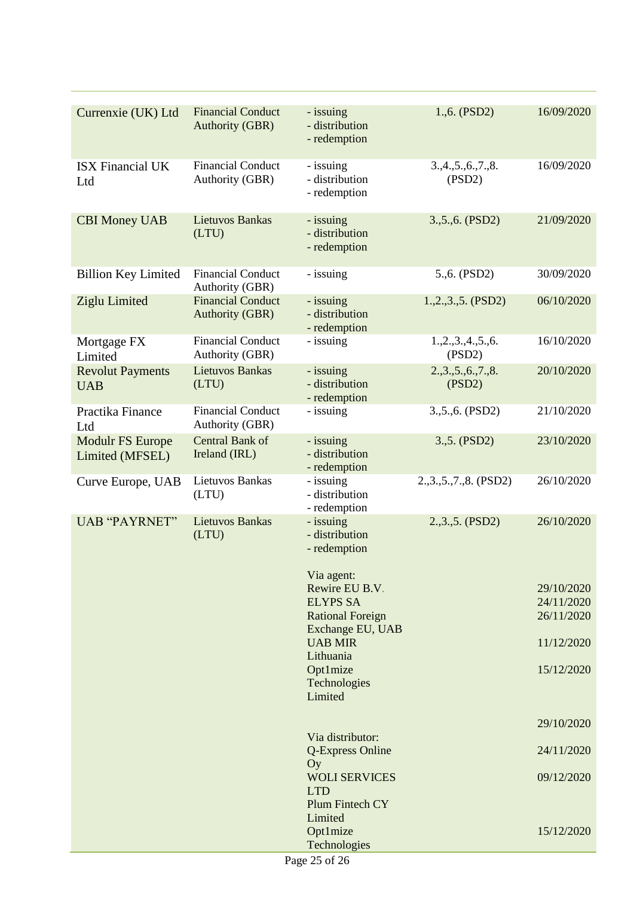| Currenxie (UK) Ltd                         | <b>Financial Conduct</b><br><b>Authority (GBR)</b> | - issuing<br>- distribution<br>- redemption           | 1., 6. (PSD2)               | 16/09/2020               |
|--------------------------------------------|----------------------------------------------------|-------------------------------------------------------|-----------------------------|--------------------------|
| <b>ISX Financial UK</b><br>Ltd             | <b>Financial Conduct</b><br><b>Authority (GBR)</b> | - issuing<br>- distribution<br>- redemption           | 3, 4, 5, 6, 7, 8.<br>(PSD2) | 16/09/2020               |
| <b>CBI Money UAB</b>                       | <b>Lietuvos Bankas</b><br>(LTU)                    | - issuing<br>- distribution<br>- redemption           | 3., 5., 6. (PSD2)           | 21/09/2020               |
| <b>Billion Key Limited</b>                 | <b>Financial Conduct</b><br>Authority (GBR)        | - issuing                                             | 5.,6. (PSD2)                | 30/09/2020               |
| Ziglu Limited                              | <b>Financial Conduct</b><br><b>Authority (GBR)</b> | - issuing<br>- distribution<br>- redemption           | 1.,2.,3.,5. (PSD2)          | 06/10/2020               |
| Mortgage FX<br>Limited                     | <b>Financial Conduct</b><br><b>Authority (GBR)</b> | - issuing                                             | 1, 2, 3, 4, 5, 6.<br>(PSD2) | 16/10/2020               |
| <b>Revolut Payments</b><br><b>UAB</b>      | <b>Lietuvos Bankas</b><br>(LTU)                    | - issuing<br>- distribution<br>- redemption           | 2.,3.,5.,6.,7.,8.<br>(PSD2) | 20/10/2020               |
| Practika Finance<br>Ltd                    | <b>Financial Conduct</b><br><b>Authority (GBR)</b> | - issuing                                             | 3., 5., 6. (PSD2)           | 21/10/2020               |
| <b>Modulr FS Europe</b><br>Limited (MFSEL) | Central Bank of<br>Ireland (IRL)                   | - issuing<br>- distribution<br>- redemption           | 3.,5. (PSD2)                | 23/10/2020               |
| Curve Europe, UAB                          | Lietuvos Bankas<br>(LTU)                           | - issuing<br>- distribution<br>- redemption           | 2., 3., 5., 7., 8. (PSD2)   | 26/10/2020               |
| <b>UAB "PAYRNET"</b>                       | <b>Lietuvos Bankas</b><br>(LTU)                    | - issuing<br>- distribution<br>- redemption           | 2.,3.,5. (PSD2)             | 26/10/2020               |
|                                            |                                                    | Via agent:<br>Rewire EU B.V.                          |                             | 29/10/2020               |
|                                            |                                                    | <b>ELYPS SA</b><br><b>Rational Foreign</b>            |                             | 24/11/2020<br>26/11/2020 |
|                                            |                                                    | Exchange EU, UAB<br><b>UAB MIR</b>                    |                             | 11/12/2020               |
|                                            |                                                    | Lithuania<br>Opt1mize                                 |                             | 15/12/2020               |
|                                            |                                                    | Technologies<br>Limited                               |                             |                          |
|                                            |                                                    |                                                       |                             | 29/10/2020               |
|                                            |                                                    | Via distributor:<br>Q-Express Online<br>Oy            |                             | 24/11/2020               |
|                                            |                                                    | <b>WOLI SERVICES</b><br><b>LTD</b><br>Plum Fintech CY |                             | 09/12/2020               |
|                                            |                                                    | Limited                                               |                             |                          |
|                                            |                                                    | Opt1mize<br>Technologies                              |                             | 15/12/2020               |
|                                            |                                                    | Page 25 of 26                                         |                             |                          |